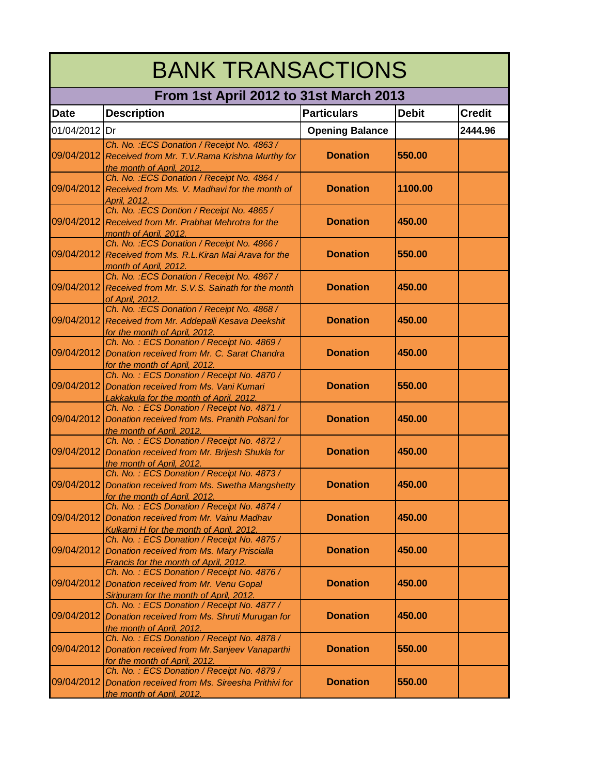| <b>BANK TRANSACTIONS</b> |                                                                                                                                   |                        |              |               |
|--------------------------|-----------------------------------------------------------------------------------------------------------------------------------|------------------------|--------------|---------------|
|                          | From 1st April 2012 to 31st March 2013                                                                                            |                        |              |               |
| <b>Date</b>              | <b>Description</b>                                                                                                                | <b>Particulars</b>     | <b>Debit</b> | <b>Credit</b> |
| 01/04/2012 Dr            |                                                                                                                                   | <b>Opening Balance</b> |              | 2444.96       |
| 09/04/2012               | Ch. No. : ECS Donation / Receipt No. 4863 /<br>Received from Mr. T.V. Rama Krishna Murthy for                                     | <b>Donation</b>        | 550.00       |               |
| 09/04/2012               | the month of April, 2012.<br>Ch. No. : ECS Donation / Receipt No. 4864 /<br>Received from Ms. V. Madhavi for the month of         | <b>Donation</b>        | 1100.00      |               |
|                          | April, 2012.<br>Ch. No.: ECS Dontion / Receipt No. 4865 /                                                                         |                        |              |               |
|                          | 09/04/2012 Received from Mr. Prabhat Mehrotra for the<br>month of April, 2012.                                                    | <b>Donation</b>        | 450.00       |               |
|                          | Ch. No.: ECS Donation / Receipt No. 4866 /<br>09/04/2012 Received from Ms. R.L. Kiran Mai Arava for the<br>month of April, 2012.  | <b>Donation</b>        | 550.00       |               |
|                          | Ch. No.: ECS Donation / Receipt No. 4867 /<br>09/04/2012 Received from Mr. S.V.S. Sainath for the month<br>of April, 2012.        | <b>Donation</b>        | 450.00       |               |
| 09/04/2012               | Ch. No. : ECS Donation / Receipt No. 4868 /<br>Received from Mr. Addepalli Kesava Deekshit<br>for the month of April, 2012.       | <b>Donation</b>        | 450.00       |               |
| 09/04/2012               | Ch. No.: ECS Donation / Receipt No. 4869 /<br>Donation received from Mr. C. Sarat Chandra<br>for the month of April, 2012.        | <b>Donation</b>        | 450.00       |               |
| 09/04/2012               | Ch. No.: ECS Donation / Receipt No. 4870 /<br>Donation received from Ms. Vani Kumari<br>Lakkakula for the month of April, 2012.   | <b>Donation</b>        | 550.00       |               |
| 09/04/2012               | Ch. No.: ECS Donation / Receipt No. 4871 /<br>Donation received from Ms. Pranith Polsani for<br>the month of April, 2012.         | <b>Donation</b>        | 450.00       |               |
| 09/04/2012               | Ch. No.: ECS Donation / Receipt No. 4872 /<br>Donation received from Mr. Brijesh Shukla for<br>the month of April, 2012.          | <b>Donation</b>        | 450.00       |               |
| 09/04/2012               | Ch. No.: ECS Donation / Receipt No. 4873 /<br>Donation received from Ms. Swetha Mangshetty<br>for the month of April, 2012.       | <b>Donation</b>        | 450.00       |               |
| 09/04/2012               | Ch. No.: ECS Donation / Receipt No. 4874 /<br>Donation received from Mr. Vainu Madhav<br>Kulkarni H for the month of April, 2012. | <b>Donation</b>        | 450.00       |               |
| 09/04/2012               | Ch. No.: ECS Donation / Receipt No. 4875 /<br>Donation received from Ms. Mary Priscialla<br>Francis for the month of April, 2012. | <b>Donation</b>        | 450.00       |               |
| 09/04/2012               | Ch. No.: ECS Donation / Receipt No. 4876 /<br>Donation received from Mr. Venu Gopal<br>Siripuram for the month of April, 2012.    | <b>Donation</b>        | 450.00       |               |
| 09/04/2012               | Ch. No.: ECS Donation / Receipt No. 4877 /<br>Donation received from Ms. Shruti Murugan for<br>the month of April, 2012.          | <b>Donation</b>        | 450.00       |               |
| 09/04/2012               | Ch. No.: ECS Donation / Receipt No. 4878 /<br>Donation received from Mr. Sanjeev Vanaparthi<br>for the month of April, 2012.      | <b>Donation</b>        | 550.00       |               |
| 09/04/2012               | Ch. No.: ECS Donation / Receipt No. 4879 /<br>Donation received from Ms. Sireesha Prithivi for<br>the month of April, 2012.       | <b>Donation</b>        | 550.00       |               |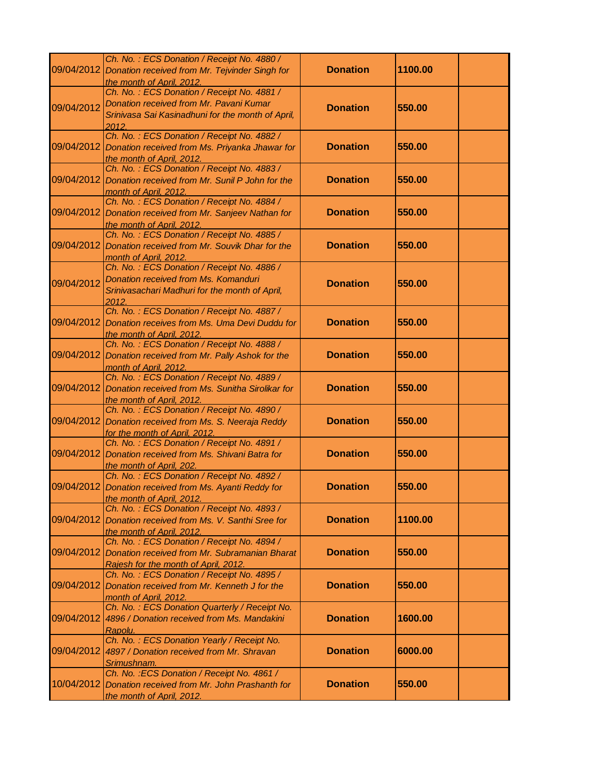|            | Ch. No.: ECS Donation / Receipt No. 4880 /<br>09/04/2012 Donation received from Mr. Tejvinder Singh for<br>the month of April, 2012.                | <b>Donation</b> | 1100.00 |
|------------|-----------------------------------------------------------------------------------------------------------------------------------------------------|-----------------|---------|
| 09/04/2012 | Ch. No.: ECS Donation / Receipt No. 4881 /<br>Donation received from Mr. Pavani Kumar<br>Srinivasa Sai Kasinadhuni for the month of April,<br>2012. | <b>Donation</b> | 550.00  |
| 09/04/2012 | Ch. No.: ECS Donation / Receipt No. 4882 /<br>Donation received from Ms. Priyanka Jhawar for<br>the month of April, 2012.                           | <b>Donation</b> | 550.00  |
| 09/04/2012 | Ch. No.: ECS Donation / Receipt No. 4883 /<br>Donation received from Mr. Sunil P John for the<br>month of April, 2012.                              | <b>Donation</b> | 550.00  |
| 09/04/2012 | Ch. No.: ECS Donation / Receipt No. 4884 /<br>Donation received from Mr. Sanjeev Nathan for<br>the month of April, 2012.                            | <b>Donation</b> | 550.00  |
| 09/04/2012 | Ch. No.: ECS Donation / Receipt No. 4885 /<br>Donation received from Mr. Souvik Dhar for the<br>month of April, 2012.                               | <b>Donation</b> | 550.00  |
| 09/04/2012 | Ch. No.: ECS Donation / Receipt No. 4886 /<br>Donation received from Ms. Komanduri<br>Srinivasachari Madhuri for the month of April,<br>2012        | <b>Donation</b> | 550.00  |
|            | Ch. No.: ECS Donation / Receipt No. 4887 /<br>09/04/2012 Donation receives from Ms. Uma Devi Duddu for<br><u>the month of April, 2012.</u>          | <b>Donation</b> | 550.00  |
| 09/04/2012 | Ch. No.: ECS Donation / Receipt No. 4888 /<br>Donation received from Mr. Pally Ashok for the<br>month of April, 2012.                               | <b>Donation</b> | 550.00  |
| 09/04/2012 | Ch. No.: ECS Donation / Receipt No. 4889 /<br>Donation received from Ms. Sunitha Sirolikar for<br>the month of April, 2012.                         | <b>Donation</b> | 550.00  |
| 09/04/2012 | Ch. No.: ECS Donation / Receipt No. 4890 /<br>Donation received from Ms. S. Neeraja Reddy<br>for the month of April, 2012.                          | <b>Donation</b> | 550.00  |
|            | Ch. No.: ECS Donation / Receipt No. 4891 /<br>09/04/2012 Donation received from Ms. Shivani Batra for<br>the month of April, 202.                   | <b>Donation</b> | 550.00  |
|            | Ch. No.: ECS Donation / Receipt No. 4892 /<br>09/04/2012 Donation received from Ms. Ayanti Reddy for<br>the month of April, 2012.                   | <b>Donation</b> | 550.00  |
| 09/04/2012 | Ch. No.: ECS Donation / Receipt No. 4893 /<br>Donation received from Ms. V. Santhi Sree for<br>the month of April, 2012.                            | <b>Donation</b> | 1100.00 |
| 09/04/2012 | Ch. No.: ECS Donation / Receipt No. 4894 /<br>Donation received from Mr. Subramanian Bharat<br>Rajesh for the month of April, 2012.                 | <b>Donation</b> | 550.00  |
| 09/04/2012 | Ch. No.: ECS Donation / Receipt No. 4895 /<br>Donation received from Mr. Kenneth J for the<br>month of April, 2012.                                 | <b>Donation</b> | 550.00  |
| 09/04/2012 | Ch. No.: ECS Donation Quarterly / Receipt No.<br>4896 / Donation received from Ms. Mandakini<br>Rapolu.                                             | <b>Donation</b> | 1600.00 |
| 09/04/2012 | Ch. No.: ECS Donation Yearly / Receipt No.<br>4897 / Donation received from Mr. Shravan<br>Srimushnam.                                              | <b>Donation</b> | 6000.00 |
| 10/04/2012 | Ch. No. : ECS Donation / Receipt No. 4861 /<br>Donation received from Mr. John Prashanth for<br>the month of April, 2012.                           | <b>Donation</b> | 550.00  |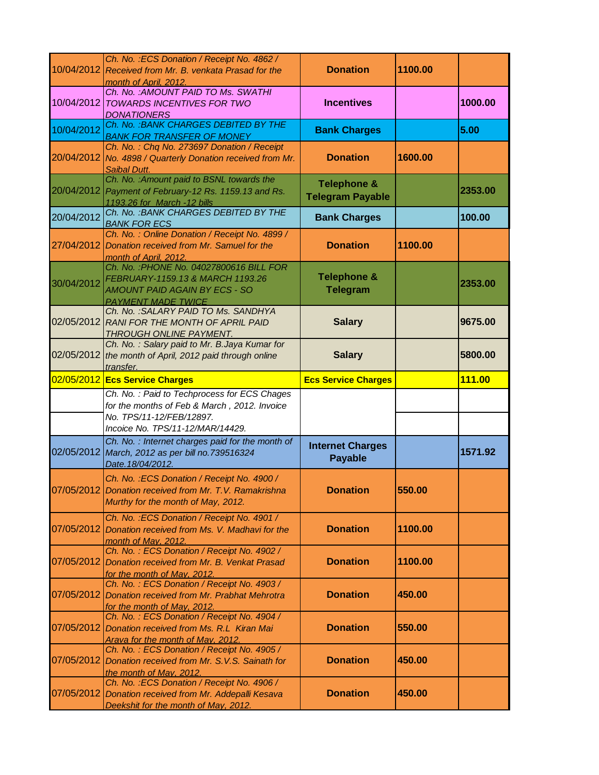|            | Ch. No.: ECS Donation / Receipt No. 4862 /<br>10/04/2012 Received from Mr. B. venkata Prasad for the<br>month of April, 2012.                     | <b>Donation</b>                                   | 1100.00 |         |
|------------|---------------------------------------------------------------------------------------------------------------------------------------------------|---------------------------------------------------|---------|---------|
| 10/04/2012 | Ch. No. : AMOUNT PAID TO Ms. SWATHI<br>TOWARDS INCENTIVES FOR TWO<br><b>DONATIONERS</b>                                                           | <b>Incentives</b>                                 |         | 1000.00 |
| 10/04/2012 | Ch. No. : BANK CHARGES DEBITED BY THE<br><b>BANK FOR TRANSFER OF MONEY</b>                                                                        | <b>Bank Charges</b>                               |         | 5.00    |
|            | Ch. No.: Chq No. 273697 Donation / Receipt<br>20/04/2012 No. 4898 / Quarterly Donation received from Mr.<br>Saibal Dutt.                          | <b>Donation</b>                                   | 1600.00 |         |
|            | Ch. No. : Amount paid to BSNL towards the<br>20/04/2012 Payment of February-12 Rs. 1159.13 and Rs.<br>1193.26 for March -12 bills                 | <b>Telephone &amp;</b><br><b>Telegram Payable</b> |         | 2353.00 |
| 20/04/2012 | Ch. No. : BANK CHARGES DEBITED BY THE<br><b>BANK FOR ECS</b>                                                                                      | <b>Bank Charges</b>                               |         | 100.00  |
| 27/04/2012 | Ch. No.: Online Donation / Receipt No. 4899 /<br>Donation received from Mr. Samuel for the<br>month of April, 2012.                               | <b>Donation</b>                                   | 1100.00 |         |
| 30/04/2012 | Ch. No. : PHONE No. 04027800616 BILL FOR<br>FEBRUARY-1159.13 & MARCH 1193.26<br><b>AMOUNT PAID AGAIN BY ECS - SO</b><br><b>PAYMENT MADE TWICE</b> | <b>Telephone &amp;</b><br><b>Telegram</b>         |         | 2353.00 |
|            | Ch. No. : SALARY PAID TO Ms. SANDHYA<br>02/05/2012 RANI FOR THE MONTH OF APRIL PAID<br><b>THROUGH ONLINE PAYMENT.</b>                             | <b>Salary</b>                                     |         | 9675.00 |
|            | Ch. No.: Salary paid to Mr. B. Jaya Kumar for<br>02/05/2012 the month of April, 2012 paid through online<br>transfer.                             | <b>Salary</b>                                     |         | 5800.00 |
|            | 02/05/2012 Ecs Service Charges                                                                                                                    | <b>Ecs Service Charges</b>                        |         | 111.00  |
|            | Ch. No.: Paid to Techprocess for ECS Chages<br>for the months of Feb & March, 2012. Invoice<br>No. TPS/11-12/FEB/12897.                           |                                                   |         |         |
|            | Incoice No. TPS/11-12/MAR/14429.                                                                                                                  |                                                   |         |         |
|            | Ch. No.: Internet charges paid for the month of<br>02/05/2012 March, 2012 as per bill no. 739516324                                               | <b>Internet Charges</b>                           |         |         |
|            | Date. 18/04/2012.                                                                                                                                 | <b>Payable</b>                                    |         | 1571.92 |
|            | Ch. No. : ECS Donation / Receipt No. 4900 /<br>07/05/2012 Donation received from Mr. T.V. Ramakrishna<br>Murthy for the month of May, 2012.       | <b>Donation</b>                                   | 550.00  |         |
| 07/05/2012 | Ch. No.: ECS Donation / Receipt No. 4901 /<br>Donation received from Ms. V. Madhavi for the<br>month of May, 2012.                                | <b>Donation</b>                                   | 1100.00 |         |
| 07/05/2012 | Ch. No.: ECS Donation / Receipt No. 4902 /<br>Donation received from Mr. B. Venkat Prasad<br>for the month of May, 2012.                          | <b>Donation</b>                                   | 1100.00 |         |
| 07/05/2012 | Ch. No.: ECS Donation / Receipt No. 4903 /<br>Donation received from Mr. Prabhat Mehrotra<br>for the month of May, 2012.                          | <b>Donation</b>                                   | 450.00  |         |
| 07/05/2012 | Ch. No.: ECS Donation / Receipt No. 4904 /<br>Donation received from Ms. R.L Kiran Mai<br>Arava for the month of May, 2012.                       | <b>Donation</b>                                   | 550.00  |         |
| 07/05/2012 | Ch. No.: ECS Donation / Receipt No. 4905 /<br>Donation received from Mr. S.V.S. Sainath for<br>the month of May, 2012.                            | <b>Donation</b>                                   | 450.00  |         |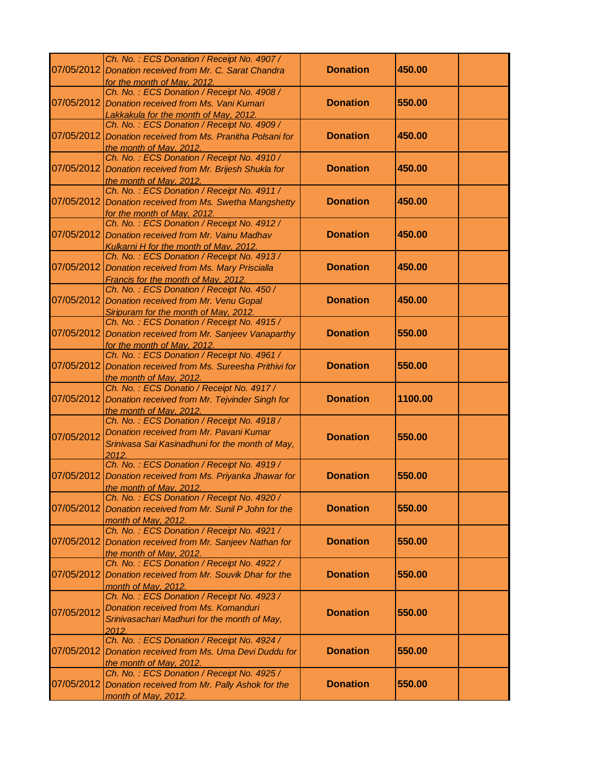| 07/05/2012 | Ch. No.: ECS Donation / Receipt No. 4907 /<br>Donation received from Mr. C. Sarat Chandra                                                         | <b>Donation</b> | 450.00  |
|------------|---------------------------------------------------------------------------------------------------------------------------------------------------|-----------------|---------|
| 07/05/2012 | for the month of May, 2012.<br>Ch. No.: ECS Donation / Receipt No. 4908 /<br>Donation received from Ms. Vani Kumari                               | <b>Donation</b> | 550.00  |
| 07/05/2012 | Lakkakula for the month of May, 2012.<br>Ch. No.: ECS Donation / Receipt No. 4909 /<br>Donation received from Ms. Pranitha Polsani for            | <b>Donation</b> | 450.00  |
| 07/05/2012 | the month of May, 2012.<br>Ch. No.: ECS Donation / Receipt No. 4910 /<br>Donation received from Mr. Brijesh Shukla for<br>the month of May, 2012. | <b>Donation</b> | 450.00  |
| 07/05/2012 | Ch. No.: ECS Donation / Receipt No. 4911 /<br>Donation received from Ms. Swetha Mangshetty<br>for the month of May, 2012.                         | <b>Donation</b> | 450.00  |
| 07/05/2012 | Ch. No.: ECS Donation / Receipt No. 4912 /<br>Donation received from Mr. Vainu Madhav<br>Kulkarni H for the month of May, 2012.                   | <b>Donation</b> | 450.00  |
| 07/05/2012 | Ch. No.: ECS Donation / Receipt No. 4913 /<br>Donation received from Ms. Mary Priscialla<br>Francis for the month of May, 2012.                   | <b>Donation</b> | 450.00  |
| 07/05/2012 | Ch. No.: ECS Donation / Receipt No. 450 /<br>Donation received from Mr. Venu Gopal<br>Siripuram for the month of May, 2012.                       | <b>Donation</b> | 450.00  |
| 07/05/2012 | Ch. No.: ECS Donation / Receipt No. 4915 /<br>Donation received from Mr. Sanjeev Vanaparthy<br>for the month of May, 2012.                        | <b>Donation</b> | 550.00  |
| 07/05/2012 | Ch. No.: ECS Donation / Receipt No. 4961 /<br>Donation received from Ms. Sureesha Prithivi for<br>the month of May, 2012.                         | <b>Donation</b> | 550.00  |
| 07/05/2012 | Ch. No.: ECS Donatio / Receipt No. 4917 /<br>Donation received from Mr. Tejvinder Singh for<br>the month of May, 2012.                            | <b>Donation</b> | 1100.00 |
| 07/05/2012 | Ch. No.: ECS Donation / Receipt No. 4918 /<br>Donation received from Mr. Pavani Kumar<br>Srinivasa Sai Kasinadhuni for the month of May,<br>2012. | <b>Donation</b> | 550.00  |
| 07/05/2012 | Ch. No.: ECS Donation / Receipt No. 4919 /<br>Donation received from Ms. Priyanka Jhawar for<br>the month of May, 2012.                           | <b>Donation</b> | 550.00  |
| 07/05/2012 | Ch. No.: ECS Donation / Receipt No. 4920 /<br>Donation received from Mr. Sunil P John for the<br>month of May, 2012.                              | <b>Donation</b> | 550.00  |
| 07/05/2012 | Ch. No.: ECS Donation / Receipt No. 4921 /<br>Donation received from Mr. Sanjeev Nathan for<br>the month of May, 2012.                            | <b>Donation</b> | 550.00  |
| 07/05/2012 | Ch. No.: ECS Donation / Receipt No. 4922 /<br>Donation received from Mr. Souvik Dhar for the<br>month of May, 2012.                               | <b>Donation</b> | 550.00  |
| 07/05/2012 | Ch. No.: ECS Donation / Receipt No. 4923 /<br>Donation received from Ms. Komanduri<br>Srinivasachari Madhuri for the month of May,<br>2012.       | <b>Donation</b> | 550.00  |
| 07/05/2012 | Ch. No.: ECS Donation / Receipt No. 4924 /<br>Donation received from Ms. Uma Devi Duddu for<br>the month of May, 2012.                            | <b>Donation</b> | 550.00  |
| 07/05/2012 | Ch. No.: ECS Donation / Receipt No. 4925 /<br>Donation received from Mr. Pally Ashok for the<br>month of May, 2012.                               | <b>Donation</b> | 550.00  |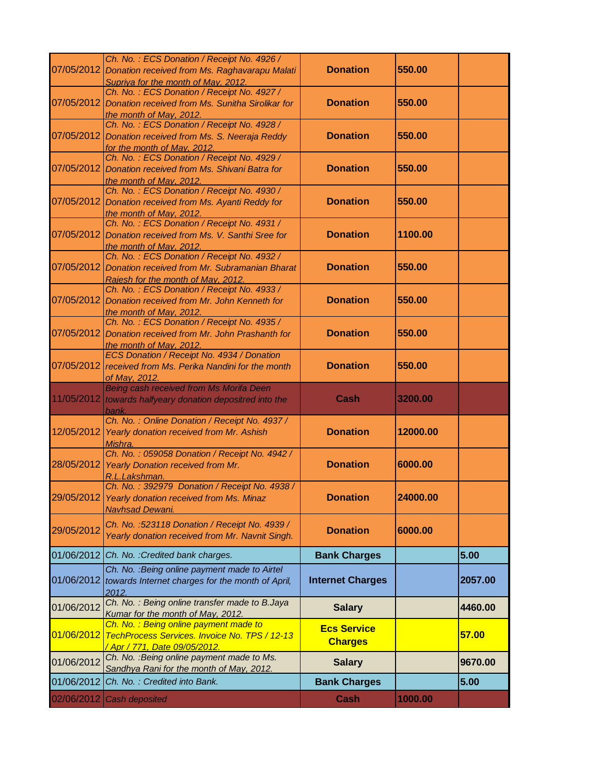|            | Ch. No.: ECS Donation / Receipt No. 4926 /<br>07/05/2012 Donation received from Ms. Raghavarapu Malati                                              | <b>Donation</b>                      | 550.00   |         |
|------------|-----------------------------------------------------------------------------------------------------------------------------------------------------|--------------------------------------|----------|---------|
| 07/05/2012 | Supriya for the month of May, 2012.<br>Ch. No.: ECS Donation / Receipt No. 4927 /<br>Donation received from Ms. Sunitha Sirolikar for               | <b>Donation</b>                      | 550.00   |         |
| 07/05/2012 | the month of May, 2012.<br>Ch. No.: ECS Donation / Receipt No. 4928 /<br>Donation received from Ms. S. Neeraja Reddy<br>for the month of May, 2012. | <b>Donation</b>                      | 550.00   |         |
| 07/05/2012 | Ch. No.: ECS Donation / Receipt No. 4929 /<br>Donation received from Ms. Shivani Batra for<br>the month of May, 2012.                               | <b>Donation</b>                      | 550.00   |         |
| 07/05/2012 | Ch. No.: ECS Donation / Receipt No. 4930 /<br>Donation received from Ms. Ayanti Reddy for<br>the month of May, 2012.                                | <b>Donation</b>                      | 550.00   |         |
| 07/05/2012 | Ch. No.: ECS Donation / Receipt No. 4931 /<br>Donation received from Ms. V. Santhi Sree for<br>the month of May, 2012.                              | <b>Donation</b>                      | 1100.00  |         |
| 07/05/2012 | Ch. No.: ECS Donation / Receipt No. 4932 /<br>Donation received from Mr. Subramanian Bharat<br>Rajesh for the month of May, 2012.                   | <b>Donation</b>                      | 550.00   |         |
| 07/05/2012 | Ch. No.: ECS Donation / Receipt No. 4933 /<br>Donation received from Mr. John Kenneth for<br>the month of May, 2012.                                | <b>Donation</b>                      | 550.00   |         |
| 07/05/2012 | Ch. No.: ECS Donation / Receipt No. 4935 /<br>Donation received from Mr. John Prashanth for<br>the month of May, 2012.                              | <b>Donation</b>                      | 550.00   |         |
| 07/05/2012 | ECS Donation / Receipt No. 4934 / Donation<br>received from Ms. Perika Nandini for the month<br>of May, 2012.                                       | <b>Donation</b>                      | 550.00   |         |
|            | Being cash received from Ms Morifa Deen<br>11/05/2012 towards halfyeary donation depositred into the<br>bank.                                       | Cash                                 | 3200.00  |         |
| 12/05/2012 | Ch. No.: Online Donation / Receipt No. 4937 /<br>Yearly donation received from Mr. Ashish<br>Mishra.                                                | <b>Donation</b>                      | 12000.00 |         |
| 28/05/2012 | Ch. No.: 059058 Donation / Receipt No. 4942 /<br>Yearly Donation received from Mr.<br>R.L.Lakshman.                                                 | <b>Donation</b>                      | 6000.00  |         |
| 29/05/2012 | Ch. No.: 392979 Donation / Receipt No. 4938 /<br>Yearly donation received from Ms. Minaz<br><b>Navhsad Dewani.</b>                                  | <b>Donation</b>                      | 24000.00 |         |
| 29/05/2012 | Ch. No. : 523118 Donation / Receipt No. 4939 /<br>Yearly donation received from Mr. Navnit Singh.                                                   | <b>Donation</b>                      | 6000.00  |         |
| 01/06/2012 | Ch. No. : Credited bank charges.                                                                                                                    | <b>Bank Charges</b>                  |          | 5.00    |
|            | Ch. No. : Being online payment made to Airtel<br>01/06/2012 towards Internet charges for the month of April,<br>2012.                               | <b>Internet Charges</b>              |          | 2057.00 |
| 01/06/2012 | Ch. No.: Being online transfer made to B.Jaya<br>Kumar for the month of May, 2012.                                                                  | <b>Salary</b>                        |          | 4460.00 |
| 01/06/2012 | Ch. No. : Being online payment made to<br>TechProcess Services. Invoice No. TPS / 12-13<br><u>/ Apr / 771, Date 09/05/2012.</u>                     | <b>Ecs Service</b><br><b>Charges</b> |          | 57.00   |
| 01/06/2012 | Ch. No. : Being online payment made to Ms.<br>Sandhya Rani for the month of May, 2012.                                                              | <b>Salary</b>                        |          | 9670.00 |
| 01/06/2012 | Ch. No.: Credited into Bank.                                                                                                                        | <b>Bank Charges</b>                  |          | 5.00    |
|            | 02/06/2012 Cash deposited                                                                                                                           | <b>Cash</b>                          | 1000.00  |         |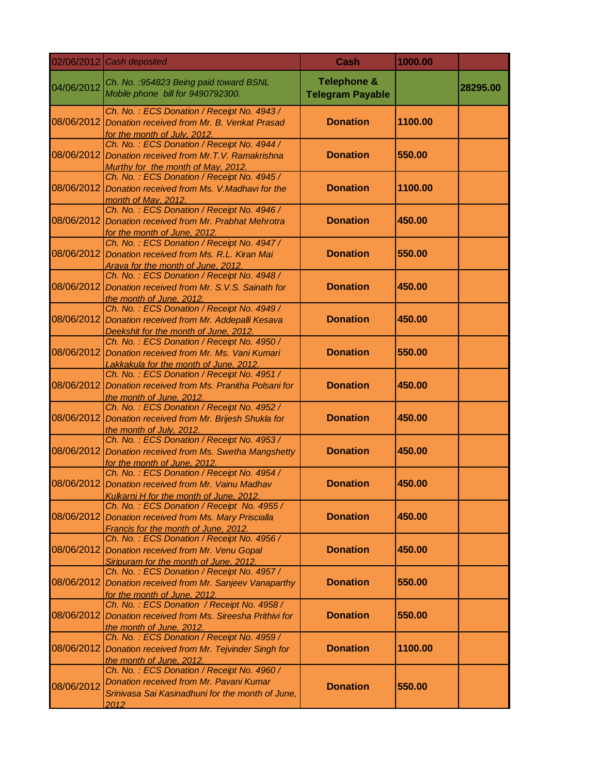| 02/06/2012 | Cash deposited                                                                                                                                    | Cash                                              | 1000.00 |          |
|------------|---------------------------------------------------------------------------------------------------------------------------------------------------|---------------------------------------------------|---------|----------|
| 04/06/2012 | Ch. No. : 954823 Being paid toward BSNL<br>Mobile phone bill for 9490792300.                                                                      | <b>Telephone &amp;</b><br><b>Telegram Payable</b> |         | 28295.00 |
| 08/06/2012 | Ch. No.: ECS Donation / Receipt No. 4943 /<br>Donation received from Mr. B. Venkat Prasad<br>for the month of July, 2012.                         | <b>Donation</b>                                   | 1100.00 |          |
| 08/06/2012 | Ch. No.: ECS Donation / Receipt No. 4944 /<br>Donation received from Mr. T.V. Ramakrishna<br>Murthy for the month of May, 2012.                   | <b>Donation</b>                                   | 550.00  |          |
| 08/06/2012 | Ch. No.: ECS Donation / Receipt No. 4945 /<br>Donation received from Ms. V.Madhavi for the<br>month of May, 2012.                                 | <b>Donation</b>                                   | 1100.00 |          |
| 08/06/2012 | Ch. No.: ECS Donation / Receipt No. 4946 /<br>Donation received from Mr. Prabhat Mehrotra<br>for the month of June, 2012.                         | <b>Donation</b>                                   | 450.00  |          |
| 08/06/2012 | Ch. No.: ECS Donation / Receipt No. 4947 /<br>Donation received from Ms. R.L. Kiran Mai<br>Arava for the month of June, 2012.                     | <b>Donation</b>                                   | 550.00  |          |
| 08/06/2012 | Ch. No.: ECS Donation / Receipt No. 4948 /<br>Donation received from Mr. S.V.S. Sainath for<br>the month of June, 2012.                           | <b>Donation</b>                                   | 450.00  |          |
| 08/06/2012 | Ch. No.: ECS Donation / Receipt No. 4949 /<br>Donation received from Mr. Addepalli Kesava<br>Deekshit for the month of June, 2012.                | <b>Donation</b>                                   | 450.00  |          |
| 08/06/2012 | Ch. No.: ECS Donation / Receipt No. 4950 /<br>Donation received from Mr. Ms. Vani Kumari<br>Lakkakula for the month of June, 2012.                | <b>Donation</b>                                   | 550.00  |          |
| 08/06/2012 | Ch. No.: ECS Donation / Receipt No. 4951 /<br>Donation received from Ms. Pranitha Polsani for<br>the month of June, 2012.                         | <b>Donation</b>                                   | 450.00  |          |
| 08/06/2012 | Ch. No.: ECS Donation / Receipt No. 4952 /<br>Donation received from Mr. Brijesh Shukla for<br>the month of July, 2012.                           | <b>Donation</b>                                   | 450.00  |          |
| 08/06/2012 | Ch. No.: ECS Donation / Receipt No. 4953 /<br>Donation received from Ms. Swetha Mangshetty<br>for the month of June, 2012.                        | <b>Donation</b>                                   | 450.00  |          |
| 08/06/2012 | Ch. No.: ECS Donation / Receipt No. 4954 /<br>Donation received from Mr. Vainu Madhav<br>Kulkarni H for the month of June, 2012.                  | <b>Donation</b>                                   | 450.00  |          |
| 08/06/2012 | Ch. No.: ECS Donation / Receipt No. 4955 /<br>Donation received from Ms. Mary Priscialla<br>Francis for the month of June, 2012.                  | <b>Donation</b>                                   | 450.00  |          |
| 08/06/2012 | Ch. No.: ECS Donation / Receipt No. 4956 /<br>Donation received from Mr. Venu Gopal<br>Siripuram for the month of June, 2012.                     | <b>Donation</b>                                   | 450.00  |          |
| 08/06/2012 | Ch. No.: ECS Donation / Receipt No. 4957 /<br>Donation received from Mr. Sanjeev Vanaparthy<br>for the month of June, 2012.                       | <b>Donation</b>                                   | 550.00  |          |
| 08/06/2012 | Ch. No.: ECS Donation / Receipt No. 4958 /<br>Donation received from Ms. Sireesha Prithivi for<br>the month of June, 2012.                        | <b>Donation</b>                                   | 550.00  |          |
| 08/06/2012 | Ch. No.: ECS Donation / Receipt No. 4959 /<br>Donation received from Mr. Tejvinder Singh for<br>the month of June, 2012.                          | <b>Donation</b>                                   | 1100.00 |          |
| 08/06/2012 | Ch. No.: ECS Donation / Receipt No. 4960 /<br>Donation received from Mr. Pavani Kumar<br>Srinivasa Sai Kasinadhuni for the month of June,<br>2012 | <b>Donation</b>                                   | 550.00  |          |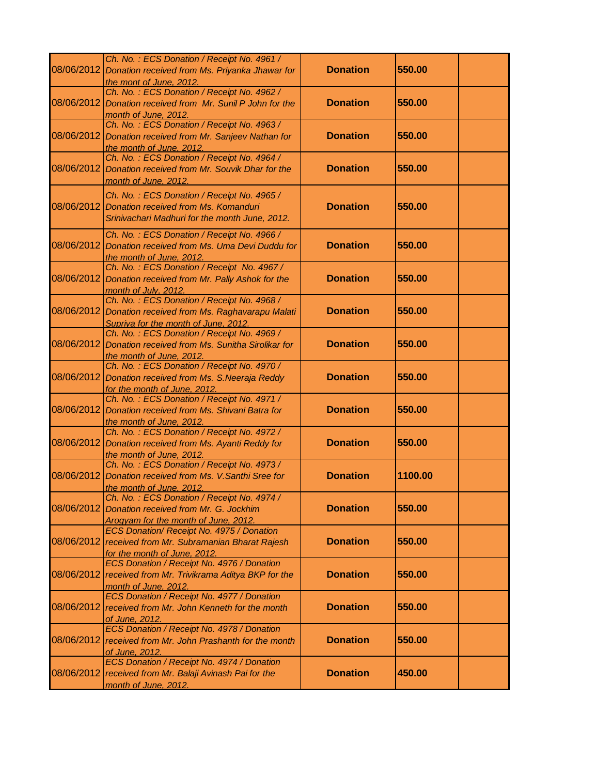|            | Ch. No.: ECS Donation / Receipt No. 4961 /<br>08/06/2012 Donation received from Ms. Priyanka Jhawar for<br>the mont of June, 2012.   | <b>Donation</b> | 550.00  |
|------------|--------------------------------------------------------------------------------------------------------------------------------------|-----------------|---------|
| 08/06/2012 | Ch. No.: ECS Donation / Receipt No. 4962 /<br>Donation received from Mr. Sunil P John for the<br>month of June, 2012.                | <b>Donation</b> | 550.00  |
| 08/06/2012 | Ch. No.: ECS Donation / Receipt No. 4963 /<br>Donation received from Mr. Sanjeev Nathan for<br>the month of June, 2012.              | <b>Donation</b> | 550.00  |
| 08/06/2012 | Ch. No.: ECS Donation / Receipt No. 4964 /<br>Donation received from Mr. Souvik Dhar for the<br>month of June, 2012.                 | <b>Donation</b> | 550.00  |
| 08/06/2012 | Ch. No.: ECS Donation / Receipt No. 4965 /<br>Donation received from Ms. Komanduri<br>Srinivachari Madhuri for the month June, 2012. | <b>Donation</b> | 550.00  |
| 08/06/2012 | Ch. No.: ECS Donation / Receipt No. 4966 /<br>Donation received from Ms. Uma Devi Duddu for<br>the month of June, 2012.              | <b>Donation</b> | 550.00  |
| 08/06/2012 | Ch. No.: ECS Donation / Receipt No. 4967 /<br>Donation received from Mr. Pally Ashok for the<br>month of July, 2012.                 | <b>Donation</b> | 550.00  |
| 08/06/2012 | Ch. No.: ECS Donation / Receipt No. 4968 /<br>Donation received from Ms. Raghavarapu Malati<br>Supriya for the month of June, 2012.  | <b>Donation</b> | 550.00  |
| 08/06/2012 | Ch. No.: ECS Donation / Receipt No. 4969 /<br>Donation received from Ms. Sunitha Sirolikar for<br>the month of June, 2012.           | <b>Donation</b> | 550.00  |
| 08/06/2012 | Ch. No.: ECS Donation / Receipt No. 4970 /<br>Donation received from Ms. S. Neeraja Reddy<br>for the month of June, 2012.            | <b>Donation</b> | 550.00  |
| 08/06/2012 | Ch. No.: ECS Donation / Receipt No. 4971 /<br>Donation received from Ms. Shivani Batra for<br>the month of June, 2012.               | <b>Donation</b> | 550.00  |
| 08/06/2012 | Ch. No.: ECS Donation / Receipt No. 4972 /<br>Donation received from Ms. Ayanti Reddy for<br>the month of June, 2012.                | <b>Donation</b> | 550.00  |
| 08/06/2012 | Ch. No.: ECS Donation / Receipt No. 4973 /<br>Donation received from Ms. V. Santhi Sree for<br>the month of June, 2012.              | <b>Donation</b> | 1100.00 |
| 08/06/2012 | Ch. No.: ECS Donation / Receipt No. 4974 /<br>Donation received from Mr. G. Jockhim<br>Arogyam for the month of June, 2012.          | <b>Donation</b> | 550.00  |
| 08/06/2012 | ECS Donation/ Receipt No. 4975 / Donation<br>received from Mr. Subramanian Bharat Rajesh<br>for the month of June, 2012.             | <b>Donation</b> | 550.00  |
|            | ECS Donation / Receipt No. 4976 / Donation<br>08/06/2012 received from Mr. Trivikrama Aditya BKP for the<br>month of June, 2012.     | <b>Donation</b> | 550.00  |
|            | ECS Donation / Receipt No. 4977 / Donation<br>08/06/2012 received from Mr. John Kenneth for the month<br>of June, 2012.              | <b>Donation</b> | 550.00  |
| 08/06/2012 | ECS Donation / Receipt No. 4978 / Donation<br>received from Mr. John Prashanth for the month<br>of June, 2012.                       | <b>Donation</b> | 550.00  |
|            | ECS Donation / Receipt No. 4974 / Donation<br>08/06/2012 received from Mr. Balaji Avinash Pai for the<br>month of June, 2012.        | <b>Donation</b> | 450.00  |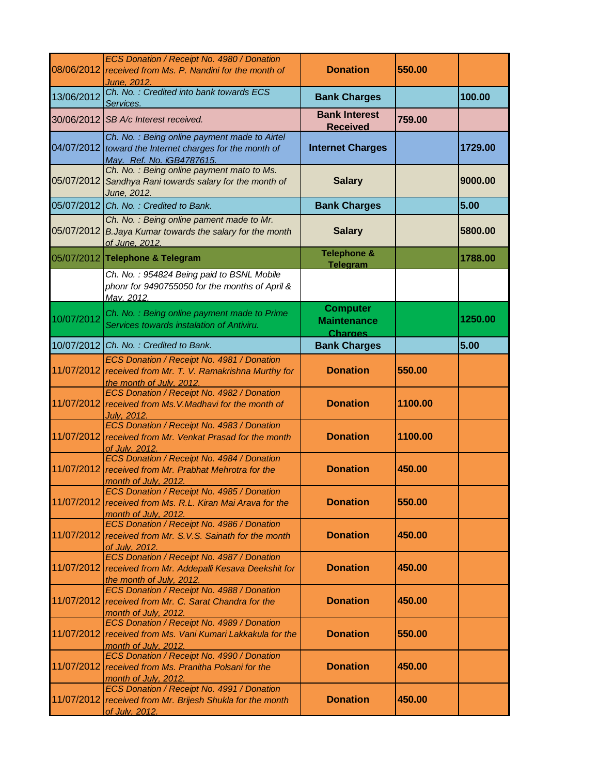| 08/06/2012 | ECS Donation / Receipt No. 4980 / Donation<br>received from Ms. P. Nandini for the month of<br>June, 2012.                  | <b>Donation</b>                                         | 550.00  |         |
|------------|-----------------------------------------------------------------------------------------------------------------------------|---------------------------------------------------------|---------|---------|
| 13/06/2012 | Ch. No.: Credited into bank towards ECS<br>Services.                                                                        | <b>Bank Charges</b>                                     |         | 100.00  |
| 30/06/2012 | SB A/c Interest received.                                                                                                   | <b>Bank Interest</b><br><b>Received</b>                 | 759.00  |         |
| 04/07/2012 | Ch. No.: Being online payment made to Airtel<br>toward the Internet charges for the month of<br>May. Ref. No. iGB4787615.   | <b>Internet Charges</b>                                 |         | 1729.00 |
| 05/07/2012 | Ch. No.: Being online payment mato to Ms.<br>Sandhya Rani towards salary for the month of<br>June, 2012.                    | <b>Salary</b>                                           |         | 9000.00 |
| 05/07/2012 | Ch. No.: Credited to Bank.                                                                                                  | <b>Bank Charges</b>                                     |         | 5.00    |
|            | Ch. No.: Being online pament made to Mr.<br>05/07/2012 B. Jaya Kumar towards the salary for the month<br>of June, 2012.     | <b>Salary</b>                                           |         | 5800.00 |
|            | 05/07/2012 Telephone & Telegram                                                                                             | <b>Telephone &amp;</b><br><b>Telegram</b>               |         | 1788.00 |
|            | Ch. No.: 954824 Being paid to BSNL Mobile<br>phonr for 9490755050 for the months of April &<br>May, 2012.                   |                                                         |         |         |
| 10/07/2012 | Ch. No.: Being online payment made to Prime<br>Services towards instalation of Antiviru.                                    | <b>Computer</b><br><b>Maintenance</b><br><b>Charges</b> |         | 1250.00 |
|            | 10/07/2012 Ch. No.: Credited to Bank.                                                                                       | <b>Bank Charges</b>                                     |         | 5.00    |
| 11/07/2012 | ECS Donation / Receipt No. 4981 / Donation<br>received from Mr. T. V. Ramakrishna Murthy for<br>the month of July, 2012.    | <b>Donation</b>                                         | 550.00  |         |
| 11/07/2012 | ECS Donation / Receipt No. 4982 / Donation<br>received from Ms. V. Madhavi for the month of<br>Julv. 2012.                  | <b>Donation</b>                                         | 1100.00 |         |
| 11/07/2012 | ECS Donation / Receipt No. 4983 / Donation<br>received from Mr. Venkat Prasad for the month<br>of July, 2012.               | <b>Donation</b>                                         | 1100.00 |         |
| 11/07/2012 | ECS Donation / Receipt No. 4984 / Donation<br>received from Mr. Prabhat Mehrotra for the<br>month of July, 2012.            | <b>Donation</b>                                         | 450.00  |         |
| 11/07/2012 | ECS Donation / Receipt No. 4985 / Donation<br>received from Ms. R.L. Kiran Mai Arava for the<br>month of July, 2012.        | <b>Donation</b>                                         | 550.00  |         |
| 11/07/2012 | ECS Donation / Receipt No. 4986 / Donation<br>received from Mr. S.V.S. Sainath for the month<br>of July, 2012.              | <b>Donation</b>                                         | 450.00  |         |
| 11/07/2012 | ECS Donation / Receipt No. 4987 / Donation<br>received from Mr. Addepalli Kesava Deekshit for<br>the month of July, 2012.   | <b>Donation</b>                                         | 450.00  |         |
|            | ECS Donation / Receipt No. 4988 / Donation<br>11/07/2012 received from Mr. C. Sarat Chandra for the<br>month of July, 2012. | <b>Donation</b>                                         | 450.00  |         |
| 11/07/2012 | ECS Donation / Receipt No. 4989 / Donation<br>received from Ms. Vani Kumari Lakkakula for the<br>month of July, 2012.       | <b>Donation</b>                                         | 550.00  |         |
| 11/07/2012 | ECS Donation / Receipt No. 4990 / Donation<br>received from Ms. Pranitha Polsani for the<br>month of July, 2012.            | <b>Donation</b>                                         | 450.00  |         |
| 11/07/2012 | ECS Donation / Receipt No. 4991 / Donation<br>received from Mr. Brijesh Shukla for the month<br>of July, 2012.              | <b>Donation</b>                                         | 450.00  |         |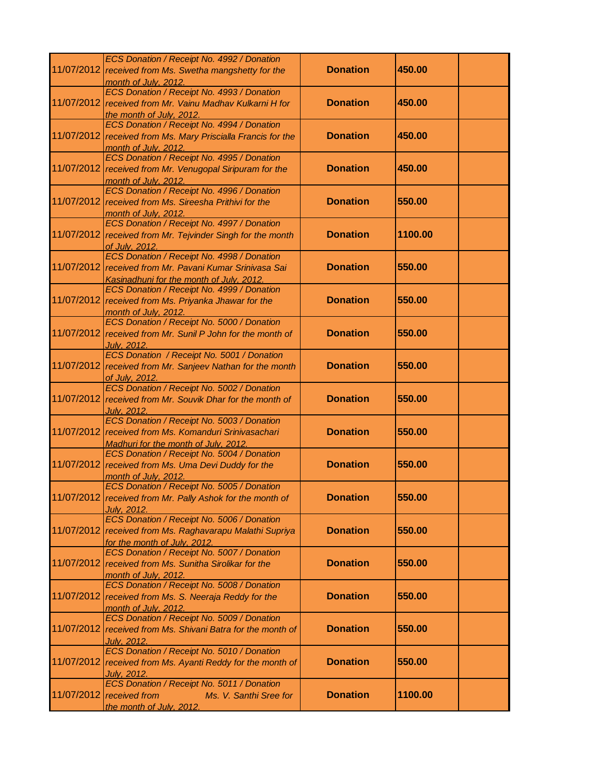|            | ECS Donation / Receipt No. 4992 / Donation<br>11/07/2012 received from Ms. Swetha mangshetty for the<br>month of July, 2012.                      | <b>Donation</b> | 450.00  |  |
|------------|---------------------------------------------------------------------------------------------------------------------------------------------------|-----------------|---------|--|
|            | ECS Donation / Receipt No. 4993 / Donation<br>11/07/2012 received from Mr. Vainu Madhav Kulkarni H for<br>the month of July, 2012.                | <b>Donation</b> | 450.00  |  |
|            | ECS Donation / Receipt No. 4994 / Donation<br>11/07/2012 received from Ms. Mary Priscialla Francis for the<br>month of July, 2012.                | <b>Donation</b> | 450.00  |  |
|            | ECS Donation / Receipt No. 4995 / Donation<br>11/07/2012 received from Mr. Venugopal Siripuram for the<br>month of July, 2012.                    | <b>Donation</b> | 450.00  |  |
|            | ECS Donation / Receipt No. 4996 / Donation<br>11/07/2012 received from Ms. Sireesha Prithivi for the<br>month of July. 2012.                      | <b>Donation</b> | 550.00  |  |
|            | ECS Donation / Receipt No. 4997 / Donation<br>11/07/2012 received from Mr. Tejvinder Singh for the month<br>of July, 2012.                        | <b>Donation</b> | 1100.00 |  |
|            | ECS Donation / Receipt No. 4998 / Donation<br>11/07/2012 received from Mr. Pavani Kumar Srinivasa Sai<br>Kasinadhuni for the month of July, 2012. | <b>Donation</b> | 550.00  |  |
|            | ECS Donation / Receipt No. 4999 / Donation<br>11/07/2012 received from Ms. Priyanka Jhawar for the<br>month of July, 2012.                        | <b>Donation</b> | 550.00  |  |
|            | ECS Donation / Receipt No. 5000 / Donation<br>11/07/2012 received from Mr. Sunil P John for the month of<br>July, 2012.                           | <b>Donation</b> | 550.00  |  |
|            | ECS Donation / Receipt No. 5001 / Donation<br>11/07/2012 received from Mr. Sanjeev Nathan for the month<br>of July, 2012.                         | <b>Donation</b> | 550.00  |  |
| 11/07/2012 | ECS Donation / Receipt No. 5002 / Donation<br>received from Mr. Souvik Dhar for the month of<br>July, 2012.                                       | <b>Donation</b> | 550.00  |  |
|            | ECS Donation / Receipt No. 5003 / Donation<br>11/07/2012 received from Ms. Komanduri Srinivasachari<br>Madhuri for the month of July, 2012.       | <b>Donation</b> | 550.00  |  |
| 11/07/2012 | ECS Donation / Receipt No. 5004 / Donation<br>received from Ms. Uma Devi Duddy for the<br>month of July, 2012.                                    | <b>Donation</b> | 550.00  |  |
|            | ECS Donation / Receipt No. 5005 / Donation<br>11/07/2012 received from Mr. Pally Ashok for the month of<br>Julv. 2012.                            | <b>Donation</b> | 550.00  |  |
|            | ECS Donation / Receipt No. 5006 / Donation<br>11/07/2012 received from Ms. Raghavarapu Malathi Supriya<br>for the month of July, 2012.            | <b>Donation</b> | 550.00  |  |
|            | ECS Donation / Receipt No. 5007 / Donation<br>11/07/2012 received from Ms. Sunitha Sirolikar for the<br>month of July, 2012.                      | <b>Donation</b> | 550.00  |  |
|            | ECS Donation / Receipt No. 5008 / Donation<br>11/07/2012 received from Ms. S. Neeraja Reddy for the<br>month of July, 2012.                       | <b>Donation</b> | 550.00  |  |
| 11/07/2012 | ECS Donation / Receipt No. 5009 / Donation<br>received from Ms. Shivani Batra for the month of<br>July, 2012.                                     | <b>Donation</b> | 550.00  |  |
| 11/07/2012 | ECS Donation / Receipt No. 5010 / Donation<br>received from Ms. Ayanti Reddy for the month of<br>July, 2012.                                      | <b>Donation</b> | 550.00  |  |
|            | ECS Donation / Receipt No. 5011 / Donation<br>$11/07/2012$ received from<br>Ms. V. Santhi Sree for<br>the month of July, 2012.                    | <b>Donation</b> | 1100.00 |  |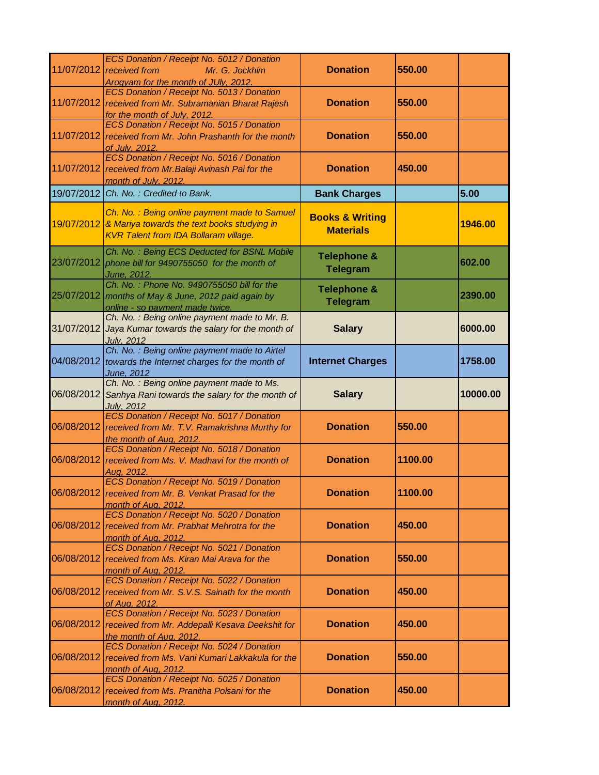|            | ECS Donation / Receipt No. 5012 / Donation<br>11/07/2012 received from<br>Mr. G. Jockhim<br>Arogyam for the month of JUly, 2012.            | <b>Donation</b>                                | 550.00  |          |
|------------|---------------------------------------------------------------------------------------------------------------------------------------------|------------------------------------------------|---------|----------|
|            | ECS Donation / Receipt No. 5013 / Donation<br>11/07/2012 received from Mr. Subramanian Bharat Rajesh<br>for the month of July, 2012.        | <b>Donation</b>                                | 550.00  |          |
| 11/07/2012 | ECS Donation / Receipt No. 5015 / Donation<br>received from Mr. John Prashanth for the month<br>of July, 2012.                              | <b>Donation</b>                                | 550.00  |          |
| 11/07/2012 | ECS Donation / Receipt No. 5016 / Donation<br>received from Mr. Balaji Avinash Pai for the<br>month of July, 2012.                          | <b>Donation</b>                                | 450.00  |          |
| 19/07/2012 | Ch. No.: Credited to Bank.                                                                                                                  | <b>Bank Charges</b>                            |         | 5.00     |
| 19/07/2012 | Ch. No.: Being online payment made to Samuel<br>& Mariya towards the text books studying in<br><b>KVR Talent from IDA Bollaram village.</b> | <b>Books &amp; Writing</b><br><b>Materials</b> |         | 1946.00  |
| 23/07/2012 | Ch. No.: Being ECS Deducted for BSNL Mobile<br>phone bill for 9490755050 for the month of<br>June, 2012.                                    | <b>Telephone &amp;</b><br><b>Telegram</b>      |         | 602.00   |
| 25/07/2012 | Ch. No.: Phone No. 9490755050 bill for the<br>months of May & June, 2012 paid again by<br>online - so payment made twice.                   | <b>Telephone &amp;</b><br><b>Telegram</b>      |         | 2390.00  |
| 31/07/2012 | Ch. No.: Being online payment made to Mr. B.<br>Jaya Kumar towards the salary for the month of<br><b>July, 2012</b>                         | <b>Salary</b>                                  |         | 6000.00  |
| 04/08/2012 | Ch. No.: Being online payment made to Airtel<br>towards the Internet charges for the month of<br>June, 2012                                 | <b>Internet Charges</b>                        |         | 1758.00  |
|            |                                                                                                                                             |                                                |         |          |
| 06/08/2012 | Ch. No.: Being online payment made to Ms.<br>Sanhya Rani towards the salary for the month of<br><b>July, 2012</b>                           | <b>Salary</b>                                  |         | 10000.00 |
| 06/08/2012 | ECS Donation / Receipt No. 5017 / Donation<br>received from Mr. T.V. Ramakrishna Murthy for<br>the month of Aug, 2012.                      | <b>Donation</b>                                | 550.00  |          |
| 06/08/2012 | ECS Donation / Receipt No. 5018 / Donation<br>received from Ms. V. Madhavi for the month of<br>Aua. 2012.                                   | <b>Donation</b>                                | 1100.00 |          |
|            | ECS Donation / Receipt No. 5019 / Donation<br>06/08/2012 received from Mr. B. Venkat Prasad for the<br>month of Aug, 2012.                  | <b>Donation</b>                                | 1100.00 |          |
| 06/08/2012 | ECS Donation / Receipt No. 5020 / Donation<br>received from Mr. Prabhat Mehrotra for the<br>month of Aug. 2012.                             | <b>Donation</b>                                | 450.00  |          |
| 06/08/2012 | ECS Donation / Receipt No. 5021 / Donation<br>received from Ms. Kiran Mai Arava for the<br>month of Aug. 2012.                              | <b>Donation</b>                                | 550.00  |          |
| 06/08/2012 | ECS Donation / Receipt No. 5022 / Donation<br>received from Mr. S.V.S. Sainath for the month<br>of Aug. 2012.                               | <b>Donation</b>                                | 450.00  |          |
| 06/08/2012 | ECS Donation / Receipt No. 5023 / Donation<br>received from Mr. Addepalli Kesava Deekshit for<br>the month of Aug. 2012.                    | <b>Donation</b>                                | 450.00  |          |
| 06/08/2012 | ECS Donation / Receipt No. 5024 / Donation<br>received from Ms. Vani Kumari Lakkakula for the<br><u>month of Aug, 2012.</u>                 | <b>Donation</b>                                | 550.00  |          |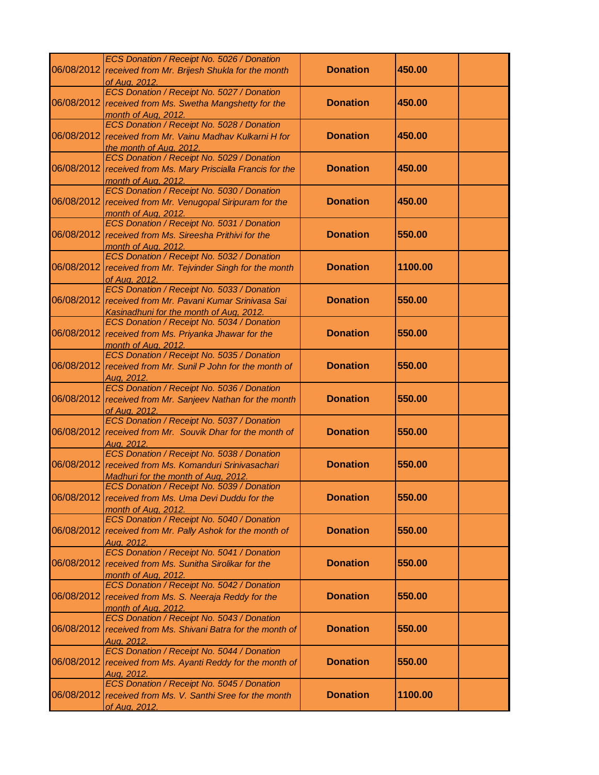|            | ECS Donation / Receipt No. 5026 / Donation                                                           |                 |         |  |
|------------|------------------------------------------------------------------------------------------------------|-----------------|---------|--|
|            | 06/08/2012 received from Mr. Brijesh Shukla for the month                                            | <b>Donation</b> | 450.00  |  |
|            | of Aug. 2012.<br>ECS Donation / Receipt No. 5027 / Donation                                          |                 |         |  |
| 06/08/2012 | received from Ms. Swetha Mangshetty for the                                                          | <b>Donation</b> | 450.00  |  |
|            | month of Aug, 2012.                                                                                  |                 |         |  |
|            | ECS Donation / Receipt No. 5028 / Donation                                                           |                 |         |  |
| 06/08/2012 | received from Mr. Vainu Madhav Kulkarni H for                                                        | <b>Donation</b> | 450.00  |  |
|            | the month of Aug. 2012.                                                                              |                 |         |  |
|            | ECS Donation / Receipt No. 5029 / Donation                                                           |                 |         |  |
| 06/08/2012 | received from Ms. Mary Priscialla Francis for the                                                    | <b>Donation</b> | 450.00  |  |
|            | month of Aug. 2012.<br>ECS Donation / Receipt No. 5030 / Donation                                    |                 |         |  |
| 06/08/2012 | received from Mr. Venugopal Siripuram for the                                                        | <b>Donation</b> | 450.00  |  |
|            | month of Aug. 2012.                                                                                  |                 |         |  |
|            | ECS Donation / Receipt No. 5031 / Donation                                                           |                 |         |  |
|            | 06/08/2012 received from Ms. Sireesha Prithivi for the                                               | <b>Donation</b> | 550.00  |  |
|            | month of Aug. 2012.                                                                                  |                 |         |  |
|            | ECS Donation / Receipt No. 5032 / Donation                                                           | <b>Donation</b> |         |  |
| 06/08/2012 | received from Mr. Tejvinder Singh for the month<br>of Aug. 2012.                                     |                 | 1100.00 |  |
|            | ECS Donation / Receipt No. 5033 / Donation                                                           |                 |         |  |
|            | 06/08/2012 received from Mr. Pavani Kumar Srinivasa Sai                                              | <b>Donation</b> | 550.00  |  |
|            | Kasinadhuni for the month of Aug. 2012.                                                              |                 |         |  |
|            | ECS Donation / Receipt No. 5034 / Donation                                                           |                 |         |  |
| 06/08/2012 | received from Ms. Priyanka Jhawar for the                                                            | <b>Donation</b> | 550.00  |  |
|            | month of Aug, 2012.                                                                                  |                 |         |  |
|            | ECS Donation / Receipt No. 5035 / Donation                                                           |                 |         |  |
| 06/08/2012 | received from Mr. Sunil P John for the month of                                                      | <b>Donation</b> | 550.00  |  |
|            | Aua. 2012.<br>ECS Donation / Receipt No. 5036 / Donation                                             |                 |         |  |
|            | 06/08/2012 received from Mr. Sanjeev Nathan for the month                                            | <b>Donation</b> | 550.00  |  |
|            | of Aug, 2012.                                                                                        |                 |         |  |
|            | ECS Donation / Receipt No. 5037 / Donation                                                           |                 |         |  |
| 06/08/2012 | received from Mr. Souvik Dhar for the month of                                                       | <b>Donation</b> | 550.00  |  |
|            | Aug. 2012.                                                                                           |                 |         |  |
| 06/08/2012 | ECS Donation / Receipt No. 5038 / Donation                                                           | <b>Donation</b> | 550.00  |  |
|            | received from Ms. Komanduri Srinivasachari<br>Madhuri for the month of Aug, 2012.                    |                 |         |  |
|            | ECS Donation / Receipt No. 5039 / Donation                                                           |                 |         |  |
|            | 06/08/2012 received from Ms. Uma Devi Duddu for the                                                  | <b>Donation</b> | 550.00  |  |
|            | month of Aug. 2012                                                                                   |                 |         |  |
|            | ECS Donation / Receipt No. 5040 / Donation                                                           |                 |         |  |
| 06/08/2012 | received from Mr. Pally Ashok for the month of                                                       | <b>Donation</b> | 550.00  |  |
|            | Aug. 2012.                                                                                           |                 |         |  |
|            | ECS Donation / Receipt No. 5041 / Donation<br>06/08/2012 received from Ms. Sunitha Sirolikar for the | <b>Donation</b> | 550.00  |  |
|            |                                                                                                      |                 |         |  |
|            | month of Aug, 2012.<br>ECS Donation / Receipt No. 5042 / Donation                                    |                 |         |  |
| 06/08/2012 | received from Ms. S. Neeraja Reddy for the                                                           | <b>Donation</b> | 550.00  |  |
|            | month of Aug. 2012.                                                                                  |                 |         |  |
|            | ECS Donation / Receipt No. 5043 / Donation                                                           |                 |         |  |
| 06/08/2012 | received from Ms. Shivani Batra for the month of                                                     | <b>Donation</b> | 550.00  |  |
|            | Aug. 2012.                                                                                           |                 |         |  |
|            | ECS Donation / Receipt No. 5044 / Donation                                                           |                 |         |  |
| 06/08/2012 | received from Ms. Ayanti Reddy for the month of                                                      | <b>Donation</b> | 550.00  |  |
|            | Aug. 2012.<br>ECS Donation / Receipt No. 5045 / Donation                                             |                 |         |  |
|            | 06/08/2012 received from Ms. V. Santhi Sree for the month                                            | <b>Donation</b> | 1100.00 |  |
|            | of Aug. 2012.                                                                                        |                 |         |  |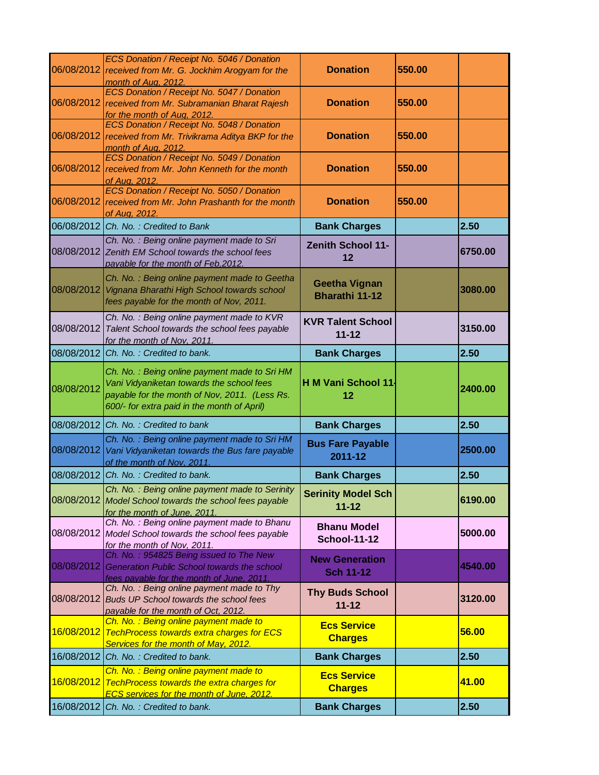| 06/08/2012 | ECS Donation / Receipt No. 5046 / Donation<br>received from Mr. G. Jockhim Arogyam for the<br>month of Aug. 2012.                                                                         | <b>Donation</b>                               | 550.00 |         |
|------------|-------------------------------------------------------------------------------------------------------------------------------------------------------------------------------------------|-----------------------------------------------|--------|---------|
| 06/08/2012 | ECS Donation / Receipt No. 5047 / Donation<br>received from Mr. Subramanian Bharat Rajesh<br>for the month of Aug, 2012.                                                                  | <b>Donation</b>                               | 550.00 |         |
| 06/08/2012 | ECS Donation / Receipt No. 5048 / Donation<br>received from Mr. Trivikrama Aditya BKP for the<br>month of Aug. 2012.                                                                      | <b>Donation</b>                               | 550.00 |         |
| 06/08/2012 | ECS Donation / Receipt No. 5049 / Donation<br>received from Mr. John Kenneth for the month<br>of Aug, 2012.                                                                               | <b>Donation</b>                               | 550.00 |         |
| 06/08/2012 | ECS Donation / Receipt No. 5050 / Donation<br>received from Mr. John Prashanth for the month<br>of Aug. 2012.                                                                             | <b>Donation</b>                               | 550.00 |         |
|            | 06/08/2012 Ch. No.: Credited to Bank                                                                                                                                                      | <b>Bank Charges</b>                           |        | 2.50    |
| 08/08/2012 | Ch. No. : Being online payment made to Sri<br>Zenith EM School towards the school fees<br>payable for the month of Feb, 2012.                                                             | <b>Zenith School 11-</b><br>12                |        | 6750.00 |
| 08/08/2012 | Ch. No.: Being online payment made to Geetha<br>Vignana Bharathi High School towards school<br>fees payable for the month of Nov, 2011.                                                   | <b>Geetha Vignan</b><br><b>Bharathi 11-12</b> |        | 3080.00 |
| 08/08/2012 | Ch. No.: Being online payment made to KVR<br>Talent School towards the school fees payable<br>for the month of Nov. 2011.                                                                 | <b>KVR Talent School</b><br>$11 - 12$         |        | 3150.00 |
| 08/08/2012 | Ch. No.: Credited to bank.                                                                                                                                                                | <b>Bank Charges</b>                           |        | 2.50    |
| 08/08/2012 | Ch. No.: Being online payment made to Sri HM<br>Vani Vidyaniketan towards the school fees<br>payable for the month of Nov, 2011. (Less Rs.<br>600/- for extra paid in the month of April) | H M Vani School 11<br>12                      |        | 2400.00 |
| 08/08/2012 | Ch. No.: Credited to bank                                                                                                                                                                 | <b>Bank Charges</b>                           |        | 2.50    |
| 08/08/2012 | Ch. No.: Being online payment made to Sri HM<br>Vani Vidyaniketan towards the Bus fare payable<br>of the month of Nov, 2011.                                                              | <b>Bus Fare Payable</b><br>2011-12            |        | 2500.00 |
| 08/08/2012 | Ch. No.: Credited to bank.                                                                                                                                                                | <b>Bank Charges</b>                           |        | 2.50    |
|            | Ch. No.: Being online payment made to Serinity<br>08/08/2012 Model School towards the school fees payable<br>for the month of June, 2011.                                                 | <b>Serinity Model Sch</b><br>$11 - 12$        |        | 6190.00 |
|            | Ch. No.: Being online payment made to Bhanu<br>08/08/2012 Model School towards the school fees payable<br>for the month of Nov, 2011.                                                     | <b>Bhanu Model</b><br><b>School-11-12</b>     |        | 5000.00 |
| 08/08/2012 | Ch. No.: 954825 Being issued to The New<br>Generation Public School towards the school<br>fees payable for the month of June, 2011.                                                       | <b>New Generation</b><br><b>Sch 11-12</b>     |        | 4540.00 |
| 08/08/2012 | Ch. No.: Being online payment made to Thy<br><b>Buds UP School towards the school fees</b><br>payable for the month of Oct, 2012.                                                         | <b>Thy Buds School</b><br>$11 - 12$           |        | 3120.00 |
| 16/08/2012 | Ch. No.: Being online payment made to<br><b>TechProcess towards extra charges for ECS</b><br>Services for the month of May, 2012.                                                         | <b>Ecs Service</b><br><b>Charges</b>          |        | 56.00   |
| 16/08/2012 | Ch. No.: Credited to bank.                                                                                                                                                                | <b>Bank Charges</b>                           |        | 2.50    |
| 16/08/2012 | Ch. No.: Being online payment made to<br><b>TechProcess towards the extra charges for</b><br>ECS services for the month of June, 2012.                                                    | <b>Ecs Service</b><br><b>Charges</b>          |        | 41.00   |
| 16/08/2012 | Ch. No.: Credited to bank.                                                                                                                                                                | <b>Bank Charges</b>                           |        | 2.50    |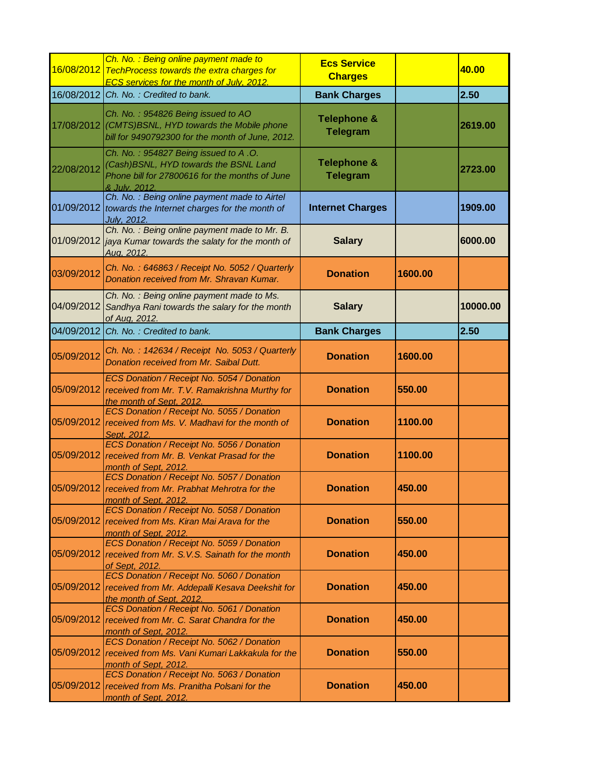|            | Ch. No. : Being online payment made to<br>16/08/2012 TechProcess towards the extra charges for<br><b>ECS services for the month of July, 2012.</b> | <b>Ecs Service</b><br><b>Charges</b>      |         | 40.00    |
|------------|----------------------------------------------------------------------------------------------------------------------------------------------------|-------------------------------------------|---------|----------|
|            | 16/08/2012 Ch. No.: Credited to bank.                                                                                                              | <b>Bank Charges</b>                       |         | 2.50     |
|            | Ch. No.: 954826 Being issued to AO<br>17/08/2012 (CMTS)BSNL, HYD towards the Mobile phone<br>bill for 9490792300 for the month of June, 2012.      | <b>Telephone &amp;</b><br><b>Telegram</b> |         | 2619.00  |
| 22/08/2012 | Ch. No.: 954827 Being issued to A.O.<br>(Cash)BSNL, HYD towards the BSNL Land<br>Phone bill for 27800616 for the months of June<br>& July. 2012.   | <b>Telephone &amp;</b><br><b>Telegram</b> |         | 2723.00  |
|            | Ch. No. : Being online payment made to Airtel<br>01/09/2012 towards the Internet charges for the month of<br>July, 2012.                           | <b>Internet Charges</b>                   |         | 1909.00  |
|            | Ch. No.: Being online payment made to Mr. B.<br>01/09/2012 jaya Kumar towards the salaty for the month of<br>Aug. 2012.                            | <b>Salary</b>                             |         | 6000.00  |
| 03/09/2012 | Ch. No.: 646863 / Receipt No. 5052 / Quarterly<br>Donation received from Mr. Shravan Kumar.                                                        | <b>Donation</b>                           | 1600.00 |          |
| 04/09/2012 | Ch. No.: Being online payment made to Ms.<br>Sandhya Rani towards the salary for the month<br>of Aug. 2012.                                        | <b>Salary</b>                             |         | 10000.00 |
|            | 04/09/2012 Ch. No.: Credited to bank.                                                                                                              | <b>Bank Charges</b>                       |         | 2.50     |
| 05/09/2012 | Ch. No.: 142634 / Receipt No. 5053 / Quarterly<br>Donation received from Mr. Saibal Dutt.                                                          | <b>Donation</b>                           | 1600.00 |          |
| 05/09/2012 | ECS Donation / Receipt No. 5054 / Donation<br>received from Mr. T.V. Ramakrishna Murthy for<br>the month of Sept, 2012.                            | <b>Donation</b>                           | 550.00  |          |
| 05/09/2012 | ECS Donation / Receipt No. 5055 / Donation<br>received from Ms. V. Madhavi for the month of<br>Sept. 2012.                                         | <b>Donation</b>                           | 1100.00 |          |
| 05/09/2012 | ECS Donation / Receipt No. 5056 / Donation<br>received from Mr. B. Venkat Prasad for the<br>month of Sept, 2012.                                   | <b>Donation</b>                           | 1100.00 |          |
| 05/09/2012 | ECS Donation / Receipt No. 5057 / Donation<br>received from Mr. Prabhat Mehrotra for the<br>month of Sept, 2012.                                   | <b>Donation</b>                           | 450.00  |          |
|            | ECS Donation / Receipt No. 5058 / Donation<br>05/09/2012 received from Ms. Kiran Mai Arava for the<br>month of Sept, 2012.                         | <b>Donation</b>                           | 550.00  |          |
| 05/09/2012 | ECS Donation / Receipt No. 5059 / Donation<br>received from Mr. S.V.S. Sainath for the month<br>of Sept, 2012.                                     | <b>Donation</b>                           | 450.00  |          |
|            | ECS Donation / Receipt No. 5060 / Donation<br>05/09/2012 received from Mr. Addepalli Kesava Deekshit for<br>the month of Sept, 2012.               | <b>Donation</b>                           | 450.00  |          |
| 05/09/2012 | ECS Donation / Receipt No. 5061 / Donation<br>received from Mr. C. Sarat Chandra for the<br>month of Sept, 2012.                                   | <b>Donation</b>                           | 450.00  |          |
| 05/09/2012 | ECS Donation / Receipt No. 5062 / Donation<br>received from Ms. Vani Kumari Lakkakula for the<br>month of Sept, 2012.                              | <b>Donation</b>                           | 550.00  |          |
| 05/09/2012 | ECS Donation / Receipt No. 5063 / Donation<br>received from Ms. Pranitha Polsani for the<br>month of Sept. 2012.                                   | <b>Donation</b>                           | 450.00  |          |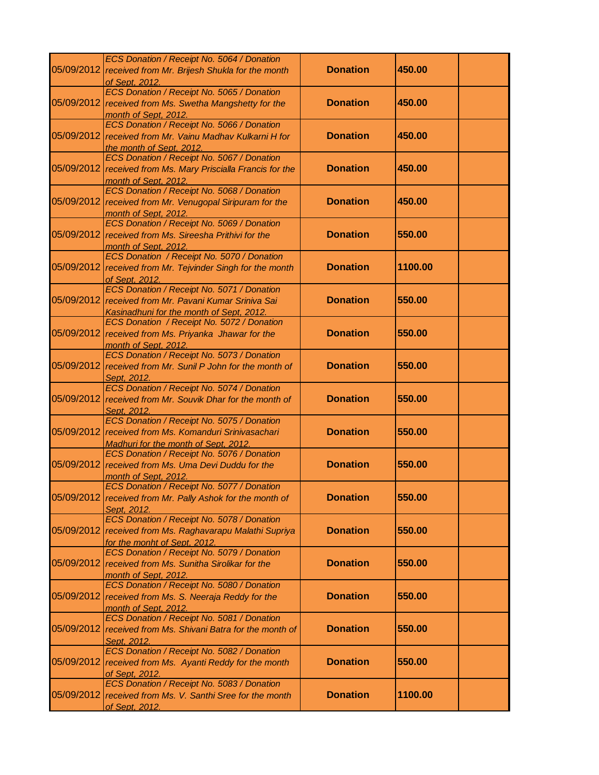|            | ECS Donation / Receipt No. 5064 / Donation                                                 |                 |         |  |
|------------|--------------------------------------------------------------------------------------------|-----------------|---------|--|
|            | 05/09/2012 received from Mr. Brijesh Shukla for the month                                  | <b>Donation</b> | 450.00  |  |
|            | of Sept, 2012.<br>ECS Donation / Receipt No. 5065 / Donation                               |                 |         |  |
| 05/09/2012 | received from Ms. Swetha Mangshetty for the                                                | <b>Donation</b> | 450.00  |  |
|            | month of Sept, 2012.                                                                       |                 |         |  |
|            | ECS Donation / Receipt No. 5066 / Donation                                                 |                 |         |  |
| 05/09/2012 | received from Mr. Vainu Madhav Kulkarni H for                                              | <b>Donation</b> | 450.00  |  |
|            | the month of Sept, 2012.                                                                   |                 |         |  |
|            | ECS Donation / Receipt No. 5067 / Donation                                                 |                 |         |  |
|            | 05/09/2012 received from Ms. Mary Priscialla Francis for the                               | <b>Donation</b> | 450.00  |  |
|            | month of Sept, 2012.<br>ECS Donation / Receipt No. 5068 / Donation                         |                 |         |  |
| 05/09/2012 | received from Mr. Venugopal Siripuram for the                                              | <b>Donation</b> | 450.00  |  |
|            | month of Sept, 2012.                                                                       |                 |         |  |
|            | ECS Donation / Receipt No. 5069 / Donation                                                 |                 |         |  |
|            | 05/09/2012 received from Ms. Sireesha Prithivi for the                                     | <b>Donation</b> | 550.00  |  |
|            | month of Sept. 2012.                                                                       |                 |         |  |
|            | ECS Donation / Receipt No. 5070 / Donation                                                 |                 |         |  |
| 05/09/2012 | received from Mr. Tejvinder Singh for the month<br>of Sept, 2012.                          | <b>Donation</b> | 1100.00 |  |
|            | ECS Donation / Receipt No. 5071 / Donation                                                 |                 |         |  |
|            | 05/09/2012 received from Mr. Pavani Kumar Sriniva Sai                                      | <b>Donation</b> | 550.00  |  |
|            | Kasinadhuni for the month of Sept, 2012.                                                   |                 |         |  |
|            | ECS Donation / Receipt No. 5072 / Donation                                                 |                 |         |  |
|            | 05/09/2012 received from Ms. Priyanka Jhawar for the                                       | <b>Donation</b> | 550.00  |  |
|            | month of Sept, 2012.                                                                       |                 |         |  |
| 05/09/2012 | ECS Donation / Receipt No. 5073 / Donation                                                 | <b>Donation</b> | 550.00  |  |
|            | received from Mr. Sunil P John for the month of<br>Sept. 2012.                             |                 |         |  |
|            | ECS Donation / Receipt No. 5074 / Donation                                                 |                 |         |  |
| 05/09/2012 | received from Mr. Souvik Dhar for the month of                                             | <b>Donation</b> | 550.00  |  |
|            | Sept. 2012.                                                                                |                 |         |  |
|            | ECS Donation / Receipt No. 5075 / Donation                                                 |                 |         |  |
| 05/09/2012 | received from Ms. Komanduri Srinivasachari                                                 | <b>Donation</b> | 550.00  |  |
|            | Madhuri for the month of Sept, 2012.                                                       |                 |         |  |
| 05/09/2012 | ECS Donation / Receipt No. 5076 / Donation<br>received from Ms. Uma Devi Duddu for the     | <b>Donation</b> | 550.00  |  |
|            | month of Sept, 2012.                                                                       |                 |         |  |
|            | ECS Donation / Receipt No. 5077 / Donation                                                 |                 |         |  |
|            | 05/09/2012 received from Mr. Pally Ashok for the month of                                  | <b>Donation</b> | 550.00  |  |
|            | Sept. 2012.                                                                                |                 |         |  |
|            | ECS Donation / Receipt No. 5078 / Donation                                                 |                 |         |  |
| 05/09/2012 | received from Ms. Raghavarapu Malathi Supriya                                              | <b>Donation</b> | 550.00  |  |
|            | for the monht of Sept, 2012.<br>ECS Donation / Receipt No. 5079 / Donation                 |                 |         |  |
|            | 05/09/2012 received from Ms. Sunitha Sirolikar for the                                     | <b>Donation</b> | 550.00  |  |
|            | month of Sept, 2012.                                                                       |                 |         |  |
|            | ECS Donation / Receipt No. 5080 / Donation                                                 |                 |         |  |
| 05/09/2012 | received from Ms. S. Neeraja Reddy for the                                                 | <b>Donation</b> | 550.00  |  |
|            | month of Sept. 2012.                                                                       |                 |         |  |
|            | ECS Donation / Receipt No. 5081 / Donation                                                 |                 |         |  |
| 05/09/2012 | received from Ms. Shivani Batra for the month of                                           | <b>Donation</b> | 550.00  |  |
|            | Sept. 2012.                                                                                |                 |         |  |
| 05/09/2012 | ECS Donation / Receipt No. 5082 / Donation<br>received from Ms. Ayanti Reddy for the month | <b>Donation</b> | 550.00  |  |
|            | of Sept, 2012.                                                                             |                 |         |  |
|            | ECS Donation / Receipt No. 5083 / Donation                                                 |                 |         |  |
|            | 05/09/2012 received from Ms. V. Santhi Sree for the month                                  | <b>Donation</b> | 1100.00 |  |
|            | of Sept, 2012.                                                                             |                 |         |  |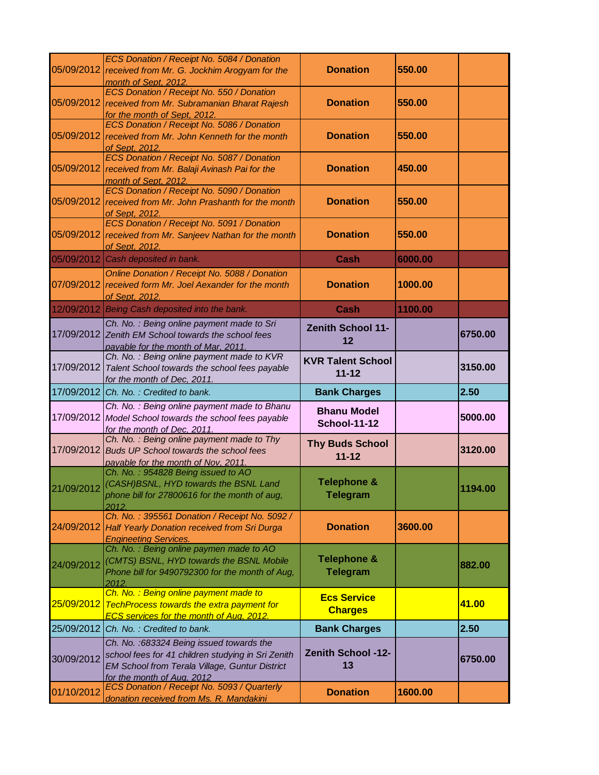| 05/09/2012 | ECS Donation / Receipt No. 5084 / Donation<br>received from Mr. G. Jockhim Arogyam for the<br>month of Sept, 2012.                                                              | <b>Donation</b>                           | 550.00  |         |
|------------|---------------------------------------------------------------------------------------------------------------------------------------------------------------------------------|-------------------------------------------|---------|---------|
| 05/09/2012 | ECS Donation / Receipt No. 550 / Donation<br>received from Mr. Subramanian Bharat Rajesh<br>for the month of Sept, 2012.                                                        | <b>Donation</b>                           | 550.00  |         |
| 05/09/2012 | ECS Donation / Receipt No. 5086 / Donation<br>received from Mr. John Kenneth for the month<br>of Sept, 2012.                                                                    | <b>Donation</b>                           | 550.00  |         |
| 05/09/2012 | ECS Donation / Receipt No. 5087 / Donation<br>received from Mr. Balaji Avinash Pai for the<br>month of Sept, 2012.                                                              | <b>Donation</b>                           | 450.00  |         |
| 05/09/2012 | ECS Donation / Receipt No. 5090 / Donation<br>received from Mr. John Prashanth for the month<br>of Sept. 2012.                                                                  | <b>Donation</b>                           | 550.00  |         |
| 05/09/2012 | ECS Donation / Receipt No. 5091 / Donation<br>received from Mr. Sanjeev Nathan for the month<br>of Sept. 2012.                                                                  | <b>Donation</b>                           | 550.00  |         |
| 05/09/2012 | Cash deposited in bank.                                                                                                                                                         | Cash                                      | 6000.00 |         |
| 07/09/2012 | Online Donation / Receipt No. 5088 / Donation<br>received form Mr. Joel Aexander for the month<br>of Sept, 2012.                                                                | <b>Donation</b>                           | 1000.00 |         |
|            | 12/09/2012 Being Cash deposited into the bank.                                                                                                                                  | Cash                                      | 1100.00 |         |
| 17/09/2012 | Ch. No.: Being online payment made to Sri<br>Zenith EM School towards the school fees<br>payable for the month of Mar, 2011.                                                    | <b>Zenith School 11-</b><br>12            |         | 6750.00 |
| 17/09/2012 | Ch. No.: Being online payment made to KVR<br>Talent School towards the school fees payable<br>for the month of Dec, 2011.                                                       | <b>KVR Talent School</b><br>$11 - 12$     |         | 3150.00 |
|            | 17/09/2012 Ch. No.: Credited to bank.                                                                                                                                           | <b>Bank Charges</b>                       |         | 2.50    |
| 17/09/2012 | Ch. No.: Being online payment made to Bhanu<br>Model School towards the school fees payable<br>for the month of Dec, 2011.                                                      | <b>Bhanu Model</b><br><b>School-11-12</b> |         | 5000.00 |
| 17/09/2012 | Ch. No.: Being online payment made to Thy<br><b>Buds UP School towards the school fees</b><br>payable for the month of Nov, 2011.                                               | <b>Thy Buds School</b><br>$11 - 12$       |         | 3120.00 |
| 21/09/2012 | Ch. No.: 954828 Being issued to AO<br>(CASH)BSNL, HYD towards the BSNL Land<br>phone bill for 27800616 for the month of aug,<br>2012.                                           | <b>Telephone &amp;</b><br><b>Telegram</b> |         | 1194.00 |
| 24/09/2012 | Ch. No.: 395561 Donation / Receipt No. 5092 /<br>Half Yearly Donation received from Sri Durga<br><b>Engineeting Services.</b>                                                   | <b>Donation</b>                           | 3600.00 |         |
| 24/09/2012 | Ch. No.: Being online paymen made to AO<br>(CMTS) BSNL, HYD towards the BSNL Mobile<br>Phone bill for 9490792300 for the month of Aug,<br>2012.                                 | <b>Telephone &amp;</b><br><b>Telegram</b> |         | 882.00  |
| 25/09/2012 | Ch. No.: Being online payment made to<br><b>TechProcess towards the extra payment for</b><br><b>ECS services for the month of Aug. 2012.</b>                                    | <b>Ecs Service</b><br><b>Charges</b>      |         | 41.00   |
| 25/09/2012 | Ch. No.: Credited to bank.                                                                                                                                                      | <b>Bank Charges</b>                       |         | 2.50    |
| 30/09/2012 | Ch. No. : 683324 Being issued towards the<br>school fees for 41 children studying in Sri Zenith<br>EM School from Terala Village, Guntur District<br>for the month of Aug. 2012 | <b>Zenith School -12-</b><br>13           |         | 6750.00 |
| 01/10/2012 | ECS Donation / Receipt No. 5093 / Quarterly<br>donation received from Ms. R. Mandakini                                                                                          | <b>Donation</b>                           | 1600.00 |         |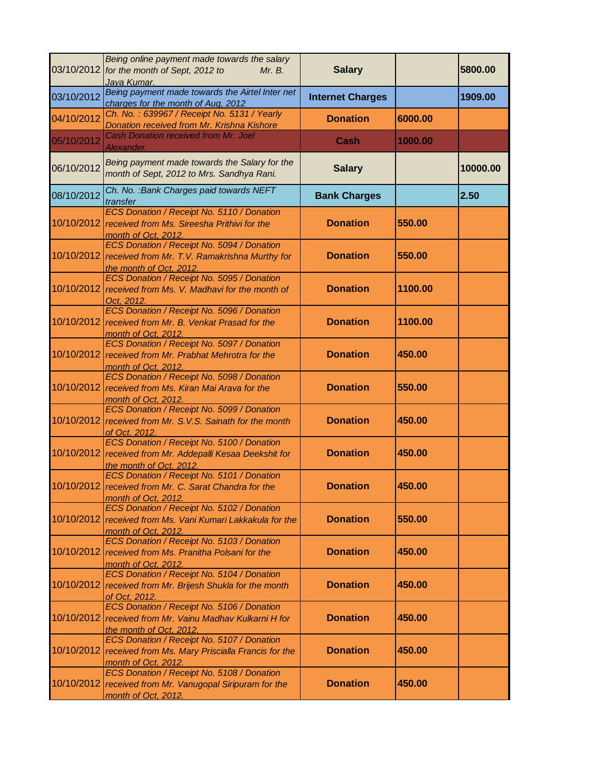|            | Being online payment made towards the salary<br>03/10/2012 for the month of Sept, 2012 to<br>Mr. B.<br>Jaya Kumar.                | <b>Salary</b>           |         | 5800.00  |
|------------|-----------------------------------------------------------------------------------------------------------------------------------|-------------------------|---------|----------|
| 03/10/2012 | Being payment made towards the Airtel Inter net<br>charges for the month of Aug, 2012                                             | <b>Internet Charges</b> |         | 1909.00  |
| 04/10/2012 | Ch. No.: 639967 / Receipt No. 5131 / Yearly<br>Donation received from Mr. Krishna Kishore                                         | <b>Donation</b>         | 6000.00 |          |
| 05/10/2012 | Cash Donation received from Mr. Joel<br>Alexander.                                                                                | Cash                    | 1000.00 |          |
| 06/10/2012 | Being payment made towards the Salary for the<br>month of Sept, 2012 to Mrs. Sandhya Rani.                                        | <b>Salary</b>           |         | 10000.00 |
| 08/10/2012 | Ch. No. : Bank Charges paid towards NEFT<br>transfer                                                                              | <b>Bank Charges</b>     |         | 2.50     |
| 10/10/2012 | ECS Donation / Receipt No. 5110 / Donation<br>received from Ms. Sireesha Prithivi for the<br>month of Oct, 2012.                  | <b>Donation</b>         | 550.00  |          |
| 10/10/2012 | ECS Donation / Receipt No. 5094 / Donation<br>received from Mr. T.V. Ramakrishna Murthy for<br>the month of Oct, 2012.            | <b>Donation</b>         | 550.00  |          |
| 10/10/2012 | ECS Donation / Receipt No. 5095 / Donation<br>received from Ms. V. Madhavi for the month of<br>Oct. 2012.                         | <b>Donation</b>         | 1100.00 |          |
| 10/10/2012 | ECS Donation / Receipt No. 5096 / Donation<br>received from Mr. B. Venkat Prasad for the<br>month of Oct, 2012.                   | <b>Donation</b>         | 1100.00 |          |
| 10/10/2012 | ECS Donation / Receipt No. 5097 / Donation<br>received from Mr. Prabhat Mehrotra for the<br>month of Oct, 2012.                   | <b>Donation</b>         | 450.00  |          |
| 10/10/2012 | ECS Donation / Receipt No. 5098 / Donation<br>received from Ms. Kiran Mai Arava for the<br>month of Oct, 2012.                    | <b>Donation</b>         | 550.00  |          |
| 10/10/2012 | ECS Donation / Receipt No. 5099 / Donation<br>received from Mr. S.V.S. Sainath for the month<br>of Oct. 2012.                     | <b>Donation</b>         | 450.00  |          |
| 10/10/2012 | ECS Donation / Receipt No. 5100 / Donation<br>received from Mr. Addepalli Kesaa Deekshit for<br>the month of Oct, 2012.           | <b>Donation</b>         | 450.00  |          |
|            | ECS Donation / Receipt No. 5101 / Donation<br>10/10/2012 received from Mr. C. Sarat Chandra for the<br>month of Oct, 2012.        | <b>Donation</b>         | 450.00  |          |
| 10/10/2012 | ECS Donation / Receipt No. 5102 / Donation<br>received from Ms. Vani Kumari Lakkakula for the<br>month of Oct, 2012.              | <b>Donation</b>         | 550.00  |          |
| 10/10/2012 | ECS Donation / Receipt No. 5103 / Donation<br>received from Ms. Pranitha Polsani for the<br>month of Oct, 2012.                   | <b>Donation</b>         | 450.00  |          |
|            | ECS Donation / Receipt No. 5104 / Donation<br>10/10/2012 received from Mr. Brijesh Shukla for the month<br>of Oct. 2012.          | <b>Donation</b>         | 450.00  |          |
|            | ECS Donation / Receipt No. 5106 / Donation<br>10/10/2012 received from Mr. Vainu Madhav Kulkarni H for<br>the month of Oct, 2012. | <b>Donation</b>         | 450.00  |          |
| 10/10/2012 | ECS Donation / Receipt No. 5107 / Donation<br>received from Ms. Mary Priscialla Francis for the<br>month of Oct, 2012.            | <b>Donation</b>         | 450.00  |          |
|            | ECS Donation / Receipt No. 5108 / Donation<br>10/10/2012 received from Mr. Vanugopal Siripuram for the<br>month of Oct, 2012.     | <b>Donation</b>         | 450.00  |          |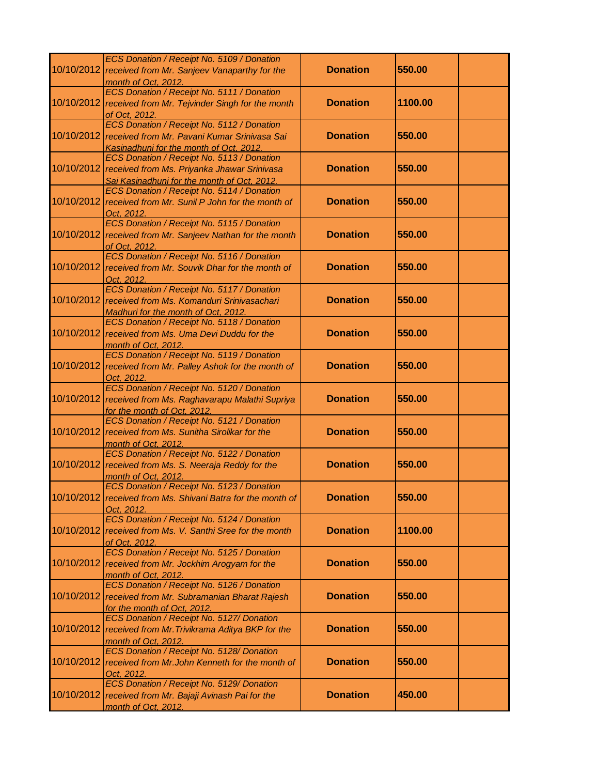|            | ECS Donation / Receipt No. 5109 / Donation<br>10/10/2012 received from Mr. Sanjeev Vanaparthy for the                                               | <b>Donation</b> | 550.00  |
|------------|-----------------------------------------------------------------------------------------------------------------------------------------------------|-----------------|---------|
| 10/10/2012 | month of Oct, 2012.<br>ECS Donation / Receipt No. 5111 / Donation                                                                                   | <b>Donation</b> | 1100.00 |
|            | received from Mr. Tejvinder Singh for the month<br>of Oct. 2012.<br>ECS Donation / Receipt No. 5112 / Donation                                      |                 |         |
|            | 10/10/2012 received from Mr. Pavani Kumar Srinivasa Sai<br>Kasinadhuni for the month of Oct, 2012.                                                  | <b>Donation</b> | 550.00  |
|            | ECS Donation / Receipt No. 5113 / Donation<br>10/10/2012 received from Ms. Priyanka Jhawar Srinivasa<br>Sai Kasinadhuni for the month of Oct, 2012. | <b>Donation</b> | 550.00  |
|            | ECS Donation / Receipt No. 5114 / Donation<br>10/10/2012 received from Mr. Sunil P John for the month of<br>Oct. 2012.                              | <b>Donation</b> | 550.00  |
|            | ECS Donation / Receipt No. 5115 / Donation<br>10/10/2012 received from Mr. Sanjeev Nathan for the month<br>of Oct. 2012.                            | <b>Donation</b> | 550.00  |
|            | ECS Donation / Receipt No. 5116 / Donation<br>10/10/2012 received from Mr. Souvik Dhar for the month of<br>Oct. 2012.                               | <b>Donation</b> | 550.00  |
|            | ECS Donation / Receipt No. 5117 / Donation<br>10/10/2012 received from Ms. Komanduri Srinivasachari<br>Madhuri for the month of Oct, 2012.          | <b>Donation</b> | 550.00  |
| 10/10/2012 | ECS Donation / Receipt No. 5118 / Donation<br>received from Ms. Uma Devi Duddu for the<br>month of Oct, 2012.                                       | <b>Donation</b> | 550.00  |
| 10/10/2012 | ECS Donation / Receipt No. 5119 / Donation<br>received from Mr. Palley Ashok for the month of<br>Oct. 2012.                                         | <b>Donation</b> | 550.00  |
|            | ECS Donation / Receipt No. 5120 / Donation<br>10/10/2012 received from Ms. Raghavarapu Malathi Supriya<br>for the month of Oct. 2012.               | <b>Donation</b> | 550.00  |
| 10/10/2012 | ECS Donation / Receipt No. 5121 / Donation<br>received from Ms. Sunitha Sirolikar for the<br>month of Oct, 2012.                                    | <b>Donation</b> | 550.00  |
| 10/10/2012 | ECS Donation / Receipt No. 5122 / Donation<br>received from Ms. S. Neeraja Reddy for the<br>month of Oct, 2012.                                     | <b>Donation</b> | 550.00  |
|            | ECS Donation / Receipt No. 5123 / Donation<br>10/10/2012 received from Ms. Shivani Batra for the month of<br>Oct. 2012.                             | <b>Donation</b> | 550.00  |
|            | ECS Donation / Receipt No. 5124 / Donation<br>10/10/2012 received from Ms. V. Santhi Sree for the month<br>of Oct. 2012.                            | <b>Donation</b> | 1100.00 |
|            | ECS Donation / Receipt No. 5125 / Donation<br>10/10/2012 received from Mr. Jockhim Arogyam for the<br>month of Oct, 2012.                           | <b>Donation</b> | 550.00  |
|            | ECS Donation / Receipt No. 5126 / Donation<br>10/10/2012 received from Mr. Subramanian Bharat Rajesh<br>for the month of Oct, 2012.                 | <b>Donation</b> | 550.00  |
| 10/10/2012 | ECS Donation / Receipt No. 5127/ Donation<br>received from Mr. Trivikrama Aditya BKP for the<br>month of Oct, 2012.                                 | <b>Donation</b> | 550.00  |
|            | ECS Donation / Receipt No. 5128/ Donation<br>10/10/2012 received from Mr. John Kenneth for the month of<br>Oct. 2012.                               | <b>Donation</b> | 550.00  |
|            | ECS Donation / Receipt No. 5129/ Donation<br>10/10/2012 received from Mr. Bajaji Avinash Pai for the<br>month of Oct, 2012.                         | <b>Donation</b> | 450.00  |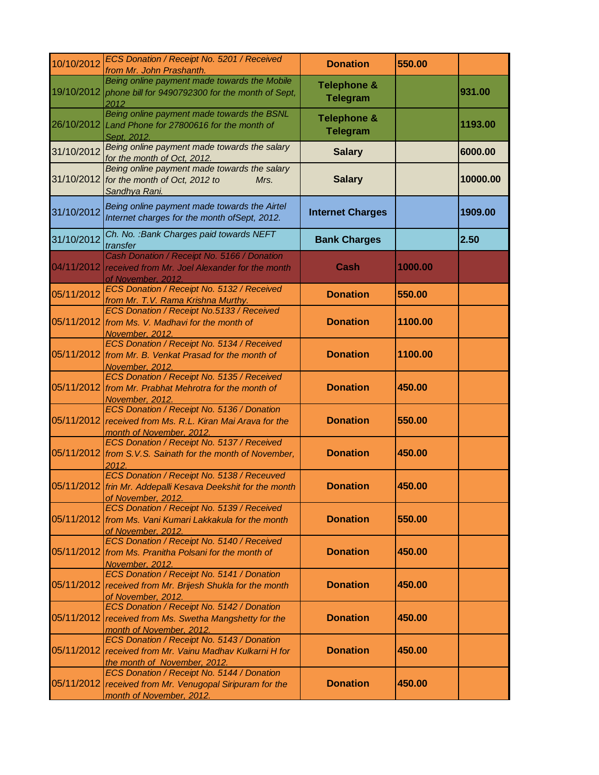| 10/10/2012 | ECS Donation / Receipt No. 5201 / Received<br>from Mr. John Prashanth.                                                             | <b>Donation</b>                           | 550.00  |          |
|------------|------------------------------------------------------------------------------------------------------------------------------------|-------------------------------------------|---------|----------|
|            | Being online payment made towards the Mobile<br>19/10/2012 phone bill for 9490792300 for the month of Sept,<br>2012                | <b>Telephone &amp;</b><br><b>Telegram</b> |         | 931.00   |
| 26/10/2012 | Being online payment made towards the BSNL<br>Land Phone for 27800616 for the month of<br>Sept. 2012.                              | <b>Telephone &amp;</b><br><b>Telegram</b> |         | 1193.00  |
| 31/10/2012 | Being online payment made towards the salary<br>for the month of Oct, 2012.                                                        | <b>Salary</b>                             |         | 6000.00  |
|            | Being online payment made towards the salary<br>31/10/2012 for the month of Oct, 2012 to<br>Mrs.<br>Sandhya Rani.                  | <b>Salary</b>                             |         | 10000.00 |
| 31/10/2012 | Being online payment made towards the Airtel<br>Internet charges for the month of Sept, 2012.                                      | <b>Internet Charges</b>                   |         | 1909.00  |
| 31/10/2012 | Ch. No. : Bank Charges paid towards NEFT<br>transfer                                                                               | <b>Bank Charges</b>                       |         | 2.50     |
| 04/11/2012 | Cash Donation / Receipt No. 5166 / Donation<br>received from Mr. Joel Alexander for the month<br>of November, 2012.                | Cash                                      | 1000.00 |          |
| 05/11/2012 | ECS Donation / Receipt No. 5132 / Received<br>from Mr. T.V. Rama Krishna Murthy.                                                   | <b>Donation</b>                           | 550.00  |          |
| 05/11/2012 | ECS Donation / Receipt No.5133 / Received<br>from Ms. V. Madhavi for the month of<br>November, 2012.                               | <b>Donation</b>                           | 1100.00 |          |
| 05/11/2012 | ECS Donation / Receipt No. 5134 / Received<br>from Mr. B. Venkat Prasad for the month of<br>November, 2012.                        | <b>Donation</b>                           | 1100.00 |          |
| 05/11/2012 | ECS Donation / Receipt No. 5135 / Received<br>from Mr. Prabhat Mehrotra for the month of<br>November, 2012.                        | <b>Donation</b>                           | 450.00  |          |
| 05/11/2012 | ECS Donation / Receipt No. 5136 / Donation<br>received from Ms. R.L. Kiran Mai Arava for the<br>month of November, 2012.           | <b>Donation</b>                           | 550.00  |          |
|            | ECS Donation / Receipt No. 5137 / Received<br>05/11/2012 from S.V.S. Sainath for the month of November,<br>2012.                   | <b>Donation</b>                           | 450.00  |          |
|            | ECS Donation / Receipt No. 5138 / Receuved<br>05/11/2012 frin Mr. Addepalli Kesava Deekshit for the month<br>of November, 2012.    | <b>Donation</b>                           | 450.00  |          |
|            | ECS Donation / Receipt No. 5139 / Received<br>05/11/2012 from Ms. Vani Kumari Lakkakula for the month<br>of November, 2012.        | <b>Donation</b>                           | 550.00  |          |
| 05/11/2012 | ECS Donation / Receipt No. 5140 / Received<br>from Ms. Pranitha Polsani for the month of<br>November, 2012.                        | <b>Donation</b>                           | 450.00  |          |
| 05/11/2012 | ECS Donation / Receipt No. 5141 / Donation<br>received from Mr. Brijesh Shukla for the month<br>of November, 2012.                 | <b>Donation</b>                           | 450.00  |          |
| 05/11/2012 | ECS Donation / Receipt No. 5142 / Donation<br>received from Ms. Swetha Mangshetty for the<br>month of November, 2012.              | <b>Donation</b>                           | 450.00  |          |
| 05/11/2012 | ECS Donation / Receipt No. 5143 / Donation<br>received from Mr. Vainu Madhav Kulkarni H for<br>the month of November, 2012.        | <b>Donation</b>                           | 450.00  |          |
|            | ECS Donation / Receipt No. 5144 / Donation<br>05/11/2012 received from Mr. Venugopal Siripuram for the<br>month of November, 2012. | <b>Donation</b>                           | 450.00  |          |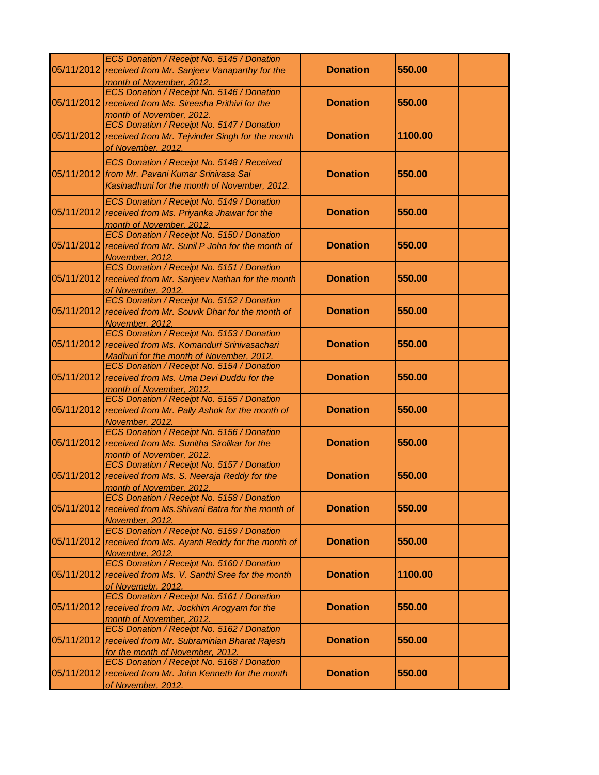|            | ECS Donation / Receipt No. 5145 / Donation<br>05/11/2012 received from Mr. Sanjeev Vanaparthy for the<br>month of November, 2012.              | <b>Donation</b> | 550.00  |
|------------|------------------------------------------------------------------------------------------------------------------------------------------------|-----------------|---------|
| 05/11/2012 | ECS Donation / Receipt No. 5146 / Donation<br>received from Ms. Sireesha Prithivi for the<br>month of November, 2012.                          | <b>Donation</b> | 550.00  |
| 05/11/2012 | ECS Donation / Receipt No. 5147 / Donation<br>received from Mr. Tejvinder Singh for the month<br>of November, 2012.                            | <b>Donation</b> | 1100.00 |
|            | ECS Donation / Receipt No. 5148 / Received<br>05/11/2012   from Mr. Pavani Kumar Srinivasa Sai<br>Kasinadhuni for the month of November, 2012. | <b>Donation</b> | 550.00  |
| 05/11/2012 | ECS Donation / Receipt No. 5149 / Donation<br>received from Ms. Priyanka Jhawar for the<br>month of November, 2012.                            | <b>Donation</b> | 550.00  |
| 05/11/2012 | ECS Donation / Receipt No. 5150 / Donation<br>received from Mr. Sunil P John for the month of<br>November, 2012.                               | <b>Donation</b> | 550.00  |
|            | ECS Donation / Receipt No. 5151 / Donation<br>05/11/2012 received from Mr. Sanjeev Nathan for the month<br>of November, 2012.                  | <b>Donation</b> | 550.00  |
| 05/11/2012 | ECS Donation / Receipt No. 5152 / Donation<br>received from Mr. Souvik Dhar for the month of<br>November, 2012.                                | <b>Donation</b> | 550.00  |
| 05/11/2012 | ECS Donation / Receipt No. 5153 / Donation<br>received from Ms. Komanduri Srinivasachari<br>Madhuri for the month of November, 2012.           | <b>Donation</b> | 550.00  |
| 05/11/2012 | ECS Donation / Receipt No. 5154 / Donation<br>received from Ms. Uma Devi Duddu for the<br>month of November, 2012.                             | <b>Donation</b> | 550.00  |
| 05/11/2012 | ECS Donation / Receipt No. 5155 / Donation<br>received from Mr. Pally Ashok for the month of<br>November, 2012.                                | <b>Donation</b> | 550.00  |
| 05/11/2012 | ECS Donation / Receipt No. 5156 / Donation<br>received from Ms. Sunitha Sirolikar for the<br>month of November, 2012.                          | <b>Donation</b> | 550.00  |
| 05/11/2012 | ECS Donation / Receipt No. 5157 / Donation<br>received from Ms. S. Neeraja Reddy for the<br>month of November, 2012.                           | <b>Donation</b> | 550.00  |
| 05/11/2012 | ECS Donation / Receipt No. 5158 / Donation<br>received from Ms. Shivani Batra for the month of<br>November, 2012.                              | <b>Donation</b> | 550.00  |
| 05/11/2012 | ECS Donation / Receipt No. 5159 / Donation<br>received from Ms. Ayanti Reddy for the month of<br>Novembre, 2012.                               | <b>Donation</b> | 550.00  |
|            | ECS Donation / Receipt No. 5160 / Donation<br>05/11/2012 received from Ms. V. Santhi Sree for the month<br>of Novemebr, 2012.                  | <b>Donation</b> | 1100.00 |
|            | ECS Donation / Receipt No. 5161 / Donation<br>05/11/2012 received from Mr. Jockhim Arogyam for the<br>month of November, 2012.                 | <b>Donation</b> | 550.00  |
| 05/11/2012 | ECS Donation / Receipt No. 5162 / Donation<br>received from Mr. Subraminian Bharat Rajesh<br>for the month of November, 2012.                  | <b>Donation</b> | 550.00  |
| 05/11/2012 | ECS Donation / Receipt No. 5168 / Donation<br>received from Mr. John Kenneth for the month<br>of November, 2012.                               | <b>Donation</b> | 550.00  |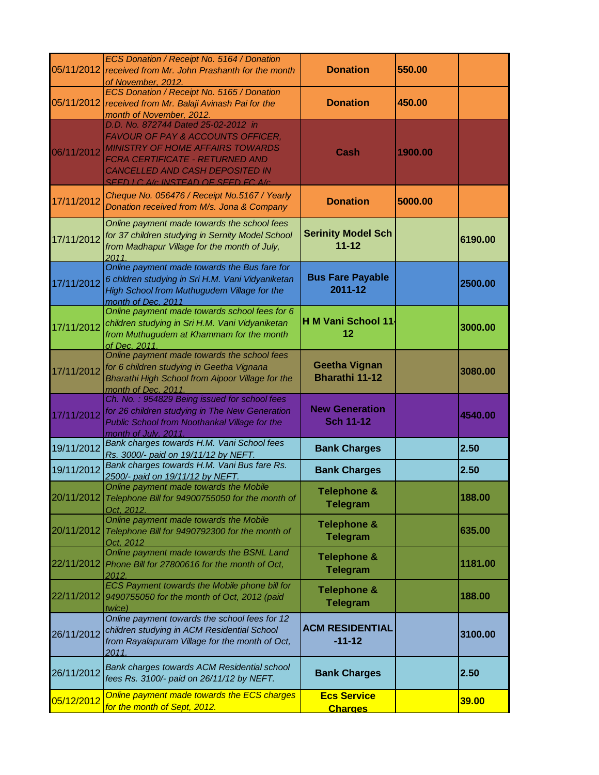|            | ECS Donation / Receipt No. 5164 / Donation<br>05/11/2012 received from Mr. John Prashanth for the month<br>of November, 2012.                                                                                                          | <b>Donation</b>                               | 550.00  |         |
|------------|----------------------------------------------------------------------------------------------------------------------------------------------------------------------------------------------------------------------------------------|-----------------------------------------------|---------|---------|
|            | ECS Donation / Receipt No. 5165 / Donation<br>05/11/2012 received from Mr. Balaji Avinash Pai for the<br>month of November, 2012.                                                                                                      | <b>Donation</b>                               | 450.00  |         |
| 06/11/2012 | D.D. No. 872744 Dated 25-02-2012 in<br>FAVOUR OF PAY & ACCOUNTS OFFICER,<br><b>MINISTRY OF HOME AFFAIRS TOWARDS</b><br>FCRA CERTIFICATE - RETURNED AND<br><b>CANCELLED AND CASH DEPOSITED IN</b><br>SEED LC A/c INSTEAD OF SEED EC A/c | Cash                                          | 1900.00 |         |
| 17/11/2012 | Cheque No. 056476 / Receipt No.5167 / Yearly<br>Donation received from M/s. Jona & Company                                                                                                                                             | <b>Donation</b>                               | 5000.00 |         |
| 17/11/2012 | Online payment made towards the school fees<br>for 37 children studying in Sernity Model School<br>from Madhapur Village for the month of July,<br>2011.                                                                               | <b>Serinity Model Sch</b><br>$11 - 12$        |         | 6190.00 |
| 17/11/2012 | Online payment made towards the Bus fare for<br>6 chldren studying in Sri H.M. Vani Vidyaniketan<br>High School from Muthugudem Village for the<br>month of Dec. 2011                                                                  | <b>Bus Fare Payable</b><br>2011-12            |         | 2500.00 |
| 17/11/2012 | Online payment made towards school fees for 6<br>children studying in Sri H.M. Vani Vidyaniketan<br>from Muthugudem at Khammam for the month<br>of Dec. 2011.                                                                          | H M Vani School 11.<br>12                     |         | 3000.00 |
| 17/11/2012 | Online payment made towards the school fees<br>for 6 children studying in Geetha Vignana<br>Bharathi High School from Aipoor Village for the<br>month of Dec. 2011.                                                                    | <b>Geetha Vignan</b><br><b>Bharathi 11-12</b> |         | 3080.00 |
| 17/11/2012 | Ch. No.: 954829 Being issued for school fees<br>for 26 children studying in The New Generation<br>Public School from Noothankal Village for the<br>month of July. 2011.                                                                | <b>New Generation</b><br><b>Sch 11-12</b>     |         | 4540.00 |
| 19/11/2012 | Bank charges towards H.M. Vani School fees<br>Rs. 3000/- paid on 19/11/12 by NEFT.                                                                                                                                                     | <b>Bank Charges</b>                           |         | 2.50    |
| 19/11/2012 | Bank charges towards H.M. Vani Bus fare Rs.<br>2500/- paid on 19/11/12 by NEFT.                                                                                                                                                        | <b>Bank Charges</b>                           |         | 2.50    |
|            | Online payment made towards the Mobile<br>20/11/2012 Telephone Bill for 94900755050 for the month of<br>Oct. 2012                                                                                                                      | <b>Telephone &amp;</b><br><b>Telegram</b>     |         | 188.00  |
| 20/11/2012 | Online payment made towards the Mobile<br>Telephone Bill for 9490792300 for the month of<br>Oct. 2012                                                                                                                                  | <b>Telephone &amp;</b><br><b>Telegram</b>     |         | 635.00  |
| 22/11/2012 | Online payment made towards the BSNL Land<br>Phone Bill for 27800616 for the month of Oct,<br>2012.                                                                                                                                    | <b>Telephone &amp;</b><br><b>Telegram</b>     |         | 1181.00 |
| 22/11/2012 | ECS Payment towards the Mobile phone bill for<br>9490755050 for the month of Oct, 2012 (paid<br>twice)                                                                                                                                 | <b>Telephone &amp;</b><br><b>Telegram</b>     |         | 188.00  |
| 26/11/2012 | Online payment towards the school fees for 12<br>children studying in ACM Residential School<br>from Rayalapuram Village for the month of Oct,<br>2011.                                                                                | <b>ACM RESIDENTIAL</b><br>$-11-12$            |         | 3100.00 |
| 26/11/2012 | Bank charges towards ACM Residential school<br>fees Rs. 3100/- paid on 26/11/12 by NEFT.                                                                                                                                               | <b>Bank Charges</b>                           |         | 2.50    |
| 05/12/2012 | Online payment made towards the ECS charges<br>for the month of Sept, 2012.                                                                                                                                                            | <b>Ecs Service</b><br><b>Charges</b>          |         | 39.00   |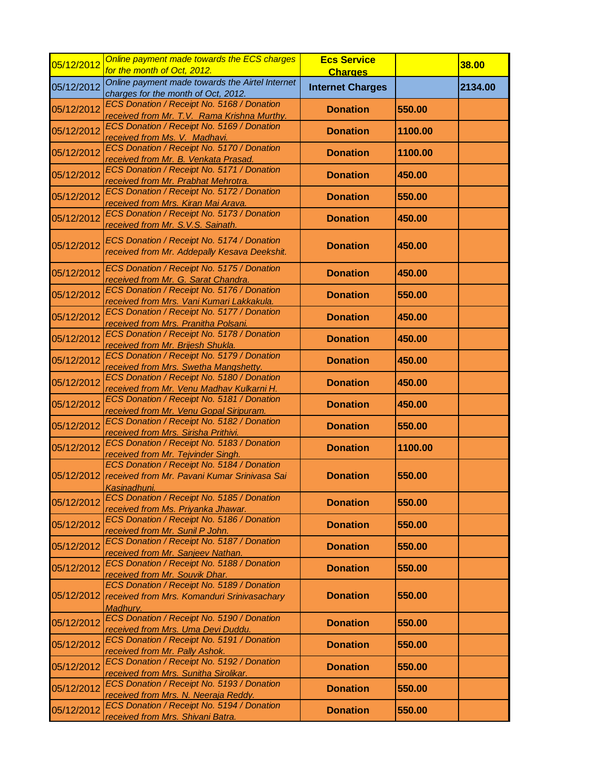| 05/12/2012 | Online payment made towards the ECS charges<br>for the month of Oct, 2012.                                 | <b>Ecs Service</b>                        |         | 38.00   |
|------------|------------------------------------------------------------------------------------------------------------|-------------------------------------------|---------|---------|
| 05/12/2012 | Online payment made towards the Airtel Internet                                                            | <b>Charges</b><br><b>Internet Charges</b> |         | 2134.00 |
|            | charges for the month of Oct, 2012.<br>ECS Donation / Receipt No. 5168 / Donation                          |                                           |         |         |
| 05/12/2012 | received from Mr. T.V. Rama Krishna Murthy.                                                                | <b>Donation</b>                           | 550.00  |         |
| 05/12/2012 | ECS Donation / Receipt No. 5169 / Donation<br>received from Ms. V. Madhavi.                                | <b>Donation</b>                           | 1100.00 |         |
| 05/12/2012 | ECS Donation / Receipt No. 5170 / Donation<br>received from Mr. B. Venkata Prasad.                         | <b>Donation</b>                           | 1100.00 |         |
| 05/12/2012 | ECS Donation / Receipt No. 5171 / Donation<br>received from Mr. Prabhat Mehrotra.                          | <b>Donation</b>                           | 450.00  |         |
| 05/12/2012 | ECS Donation / Receipt No. 5172 / Donation<br>received from Mrs. Kiran Mai Arava.                          | <b>Donation</b>                           | 550.00  |         |
| 05/12/2012 | ECS Donation / Receipt No. 5173 / Donation<br>received from Mr. S.V.S. Sainath.                            | <b>Donation</b>                           | 450.00  |         |
| 05/12/2012 | ECS Donation / Receipt No. 5174 / Donation<br>received from Mr. Addepally Kesava Deekshit.                 | <b>Donation</b>                           | 450.00  |         |
| 05/12/2012 | ECS Donation / Receipt No. 5175 / Donation<br>received from Mr. G. Sarat Chandra.                          | <b>Donation</b>                           | 450.00  |         |
| 05/12/2012 | ECS Donation / Receipt No. 5176 / Donation<br>received from Mrs. Vani Kumari Lakkakula.                    | <b>Donation</b>                           | 550.00  |         |
| 05/12/2012 | ECS Donation / Receipt No. 5177 / Donation<br>received from Mrs. Pranitha Polsani.                         | <b>Donation</b>                           | 450.00  |         |
| 05/12/2012 | ECS Donation / Receipt No. 5178 / Donation<br>received from Mr. Brijesh Shukla.                            | <b>Donation</b>                           | 450.00  |         |
| 05/12/2012 | ECS Donation / Receipt No. 5179 / Donation<br>received from Mrs. Swetha Mangshetty.                        | <b>Donation</b>                           | 450.00  |         |
| 05/12/2012 | ECS Donation / Receipt No. 5180 / Donation<br>received from Mr. Venu Madhav Kulkarni H.                    | <b>Donation</b>                           | 450.00  |         |
| 05/12/2012 | ECS Donation / Receipt No. 5181 / Donation<br>received from Mr. Venu Gopal Siripuram.                      | <b>Donation</b>                           | 450.00  |         |
| 05/12/2012 | ECS Donation / Receipt No. 5182 / Donation<br>received from Mrs. Sirisha Prithivi.                         | <b>Donation</b>                           | 550.00  |         |
| 05/12/2012 | ECS Donation / Receipt No. 5183 / Donation<br>received from Mr. Tejvinder Singh.                           | <b>Donation</b>                           | 1100.00 |         |
| 05/12/2012 | ECS Donation / Receipt No. 5184 / Donation<br>received from Mr. Pavani Kumar Srinivasa Sai<br>Kasinadhuni. | <b>Donation</b>                           | 550.00  |         |
| 05/12/2012 | ECS Donation / Receipt No. 5185 / Donation<br>received from Ms. Priyanka Jhawar.                           | <b>Donation</b>                           | 550.00  |         |
| 05/12/2012 | ECS Donation / Receipt No. 5186 / Donation<br>received from Mr. Sunil P John.                              | <b>Donation</b>                           | 550.00  |         |
| 05/12/2012 | ECS Donation / Receipt No. 5187 / Donation<br>received from Mr. Sanjeev Nathan.                            | <b>Donation</b>                           | 550.00  |         |
| 05/12/2012 | ECS Donation / Receipt No. 5188 / Donation<br>received from Mr. Souvik Dhar.                               | <b>Donation</b>                           | 550.00  |         |
| 05/12/2012 | ECS Donation / Receipt No. 5189 / Donation<br>received from Mrs. Komanduri Srinivasachary<br>Madhury.      | <b>Donation</b>                           | 550.00  |         |
| 05/12/2012 | ECS Donation / Receipt No. 5190 / Donation<br>received from Mrs. Uma Devi Duddu.                           | <b>Donation</b>                           | 550.00  |         |
| 05/12/2012 | ECS Donation / Receipt No. 5191 / Donation<br>received from Mr. Pally Ashok.                               | <b>Donation</b>                           | 550.00  |         |
| 05/12/2012 | ECS Donation / Receipt No. 5192 / Donation<br>received from Mrs. Sunitha Sirolikar.                        | <b>Donation</b>                           | 550.00  |         |
| 05/12/2012 | ECS Donation / Receipt No. 5193 / Donation<br>received from Mrs. N. Neeraja Reddy.                         | <b>Donation</b>                           | 550.00  |         |
| 05/12/2012 | ECS Donation / Receipt No. 5194 / Donation<br>received from Mrs. Shivani Batra.                            | <b>Donation</b>                           | 550.00  |         |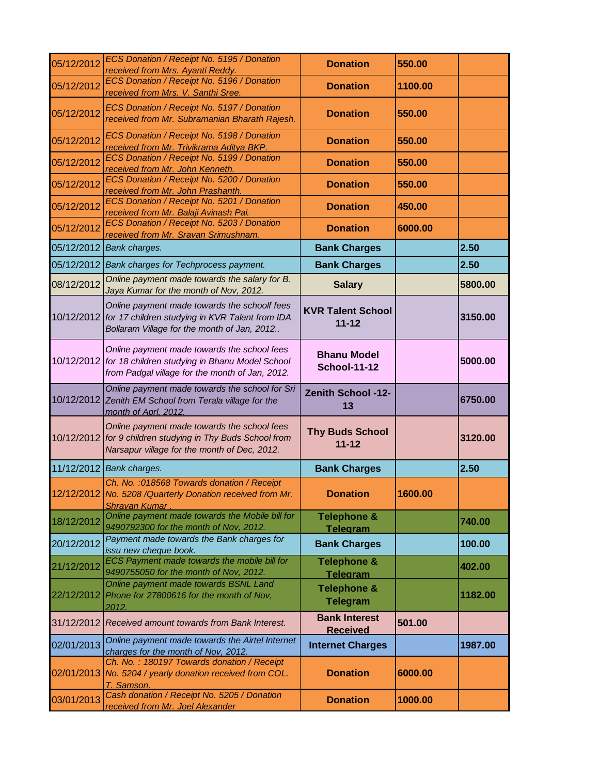| 05/12/2012 | ECS Donation / Receipt No. 5195 / Donation<br>received from Mrs. Ayanti Reddy.                                                                              | <b>Donation</b>                           | 550.00  |         |
|------------|-------------------------------------------------------------------------------------------------------------------------------------------------------------|-------------------------------------------|---------|---------|
| 05/12/2012 | ECS Donation / Receipt No. 5196 / Donation<br>received from Mrs. V. Santhi Sree.                                                                            | <b>Donation</b>                           | 1100.00 |         |
| 05/12/2012 | ECS Donation / Receipt No. 5197 / Donation<br>received from Mr. Subramanian Bharath Rajesh.                                                                 | <b>Donation</b>                           | 550.00  |         |
| 05/12/2012 | ECS Donation / Receipt No. 5198 / Donation<br>received from Mr. Trivikrama Aditya BKP.                                                                      | <b>Donation</b>                           | 550.00  |         |
| 05/12/2012 | ECS Donation / Receipt No. 5199 / Donation<br>received from Mr. John Kenneth.                                                                               | <b>Donation</b>                           | 550.00  |         |
| 05/12/2012 | ECS Donation / Receipt No. 5200 / Donation<br>received from Mr. John Prashanth.                                                                             | <b>Donation</b>                           | 550.00  |         |
| 05/12/2012 | ECS Donation / Receipt No. 5201 / Donation<br>received from Mr. Balaji Avinash Pai.                                                                         | <b>Donation</b>                           | 450.00  |         |
| 05/12/2012 | ECS Donation / Receipt No. 5203 / Donation<br>received from Mr. Sravan Srimushnam.                                                                          | <b>Donation</b>                           | 6000.00 |         |
| 05/12/2012 | Bank charges.                                                                                                                                               | <b>Bank Charges</b>                       |         | 2.50    |
| 05/12/2012 | Bank charges for Techprocess payment.                                                                                                                       | <b>Bank Charges</b>                       |         | 2.50    |
| 08/12/2012 | Online payment made towards the salary for B.<br>Jaya Kumar for the month of Nov, 2012.                                                                     | <b>Salary</b>                             |         | 5800.00 |
|            | Online payment made towards the schoolf fees<br>10/12/2012 for 17 children studying in KVR Talent from IDA<br>Bollaram Village for the month of Jan, 2012   | <b>KVR Talent School</b><br>$11 - 12$     |         | 3150.00 |
|            | Online payment made towards the school fees<br>10/12/2012 for 18 children studying in Bhanu Model School<br>from Padgal village for the month of Jan, 2012. | <b>Bhanu Model</b><br><b>School-11-12</b> |         | 5000.00 |
| 10/12/2012 | Online payment made towards the school for Sri<br>Zenith EM School from Terala village for the<br>month of Aprl, 2012.                                      | <b>Zenith School -12-</b><br>13           |         | 6750.00 |
|            | Online payment made towards the school fees<br>10/12/2012 for 9 children studying in Thy Buds School from<br>Narsapur village for the month of Dec, 2012.   | <b>Thy Buds School</b><br>$11 - 12$       |         | 3120.00 |
|            | 11/12/2012 Bank charges.                                                                                                                                    | <b>Bank Charges</b>                       |         | 2.50    |
|            | Ch. No. : 018568 Towards donation / Receipt<br>12/12/2012 No. 5208 / Quarterly Donation received from Mr.<br>Shravan Kumar.                                 | <b>Donation</b>                           | 1600.00 |         |
| 18/12/2012 | Online payment made towards the Mobile bill for<br>9490792300 for the month of Nov, 2012.                                                                   | <b>Telephone &amp;</b><br><b>Telegram</b> |         | 740.00  |
| 20/12/2012 | Payment made towards the Bank charges for<br>issu new cheque book.                                                                                          | <b>Bank Charges</b>                       |         | 100.00  |
| 21/12/2012 | ECS Payment made towards the mobile bill for<br>9490755050 for the month of Nov, 2012.                                                                      | <b>Telephone &amp;</b><br><b>Telegram</b> |         | 402.00  |
| 22/12/2012 | Online payment made towards BSNL Land<br>Phone for 27800616 for the month of Nov,<br>2012.                                                                  | <b>Telephone &amp;</b><br><b>Telegram</b> |         | 1182.00 |
| 31/12/2012 | Received amount towards from Bank Interest.                                                                                                                 | <b>Bank Interest</b><br><b>Received</b>   | 501.00  |         |
| 02/01/2013 | Online payment made towards the Airtel Internet<br>charges for the month of Nov, 2012.                                                                      | <b>Internet Charges</b>                   |         | 1987.00 |
| 02/01/2013 | Ch. No.: 180197 Towards donation / Receipt<br>No. 5204 / yearly donation received from COL.<br>T. Samson.                                                   | <b>Donation</b>                           | 6000.00 |         |
| 03/01/2013 | Cash donation / Receipt No. 5205 / Donation<br>received from Mr. Joel Alexander                                                                             | <b>Donation</b>                           | 1000.00 |         |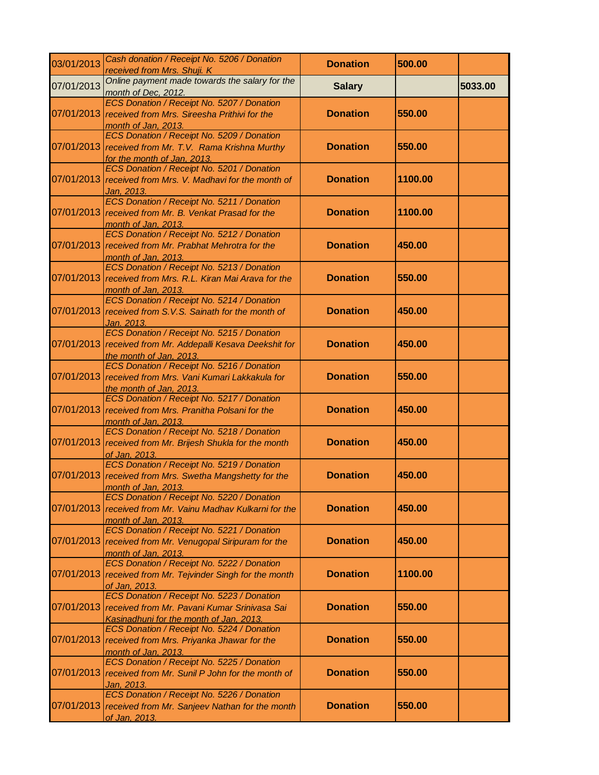| 03/01/2013 | Cash donation / Receipt No. 5206 / Donation<br>received from Mrs. Shuji. K                                                                       | <b>Donation</b> | 500.00  |         |
|------------|--------------------------------------------------------------------------------------------------------------------------------------------------|-----------------|---------|---------|
| 07/01/2013 | Online payment made towards the salary for the<br>month of Dec, 2012.                                                                            | <b>Salary</b>   |         | 5033.00 |
|            | ECS Donation / Receipt No. 5207 / Donation<br>07/01/2013 received from Mrs. Sireesha Prithivi for the<br>month of Jan, 2013.                     | <b>Donation</b> | 550.00  |         |
| 07/01/2013 | ECS Donation / Receipt No. 5209 / Donation<br>received from Mr. T.V. Rama Krishna Murthy<br>for the month of Jan, 2013.                          | <b>Donation</b> | 550.00  |         |
| 07/01/2013 | ECS Donation / Receipt No. 5201 / Donation<br>received from Mrs. V. Madhavi for the month of<br>Jan, 2013.                                       | <b>Donation</b> | 1100.00 |         |
| 07/01/2013 | ECS Donation / Receipt No. 5211 / Donation<br>received from Mr. B. Venkat Prasad for the<br>month of Jan, 2013.                                  | <b>Donation</b> | 1100.00 |         |
|            | ECS Donation / Receipt No. 5212 / Donation<br>07/01/2013 received from Mr. Prabhat Mehrotra for the<br>month of Jan, 2013.                       | <b>Donation</b> | 450.00  |         |
|            | ECS Donation / Receipt No. 5213 / Donation<br>07/01/2013 received from Mrs. R.L. Kiran Mai Arava for the<br>month of Jan, 2013.                  | <b>Donation</b> | 550.00  |         |
| 07/01/2013 | ECS Donation / Receipt No. 5214 / Donation<br>received from S.V.S. Sainath for the month of<br><u>Jan. 2013.</u>                                 | <b>Donation</b> | 450.00  |         |
|            | ECS Donation / Receipt No. 5215 / Donation<br>07/01/2013 received from Mr. Addepalli Kesava Deekshit for<br>the month of Jan, 2013.              | <b>Donation</b> | 450.00  |         |
| 07/01/2013 | ECS Donation / Receipt No. 5216 / Donation<br>received from Mrs. Vani Kumari Lakkakula for<br>the month of Jan, 2013.                            | <b>Donation</b> | 550.00  |         |
| 07/01/2013 | ECS Donation / Receipt No. 5217 / Donation<br>received from Mrs. Pranitha Polsani for the<br>month of Jan, 2013.                                 | <b>Donation</b> | 450.00  |         |
|            | ECS Donation / Receipt No. 5218 / Donation<br>07/01/2013 received from Mr. Brijesh Shukla for the month<br>of Jan, 2013.                         | <b>Donation</b> | 450.00  |         |
| 07/01/2013 | ECS Donation / Receipt No. 5219 / Donation<br>received from Mrs. Swetha Mangshetty for the<br>month of Jan, 2013.                                | <b>Donation</b> | 450.00  |         |
| 07/01/2013 | ECS Donation / Receipt No. 5220 / Donation<br>received from Mr. Vainu Madhav Kulkarni for the<br>month of Jan, 2013.                             | <b>Donation</b> | 450.00  |         |
| 07/01/2013 | ECS Donation / Receipt No. 5221 / Donation<br>received from Mr. Venugopal Siripuram for the<br>month of Jan, 2013.                               | <b>Donation</b> | 450.00  |         |
|            | ECS Donation / Receipt No. 5222 / Donation<br>07/01/2013 received from Mr. Tejvinder Singh for the month<br>of Jan, 2013.                        | <b>Donation</b> | 1100.00 |         |
|            | ECS Donation / Receipt No. 5223 / Donation<br>07/01/2013 received from Mr. Pavani Kumar Srinivasa Sai<br>Kasinadhuni for the month of Jan, 2013. | <b>Donation</b> | 550.00  |         |
| 07/01/2013 | ECS Donation / Receipt No. 5224 / Donation<br>received from Mrs. Priyanka Jhawar for the<br>month of Jan, 2013.                                  | <b>Donation</b> | 550.00  |         |
| 07/01/2013 | ECS Donation / Receipt No. 5225 / Donation<br>received from Mr. Sunil P John for the month of<br>Jan, 2013.                                      | <b>Donation</b> | 550.00  |         |
| 07/01/2013 | ECS Donation / Receipt No. 5226 / Donation<br>received from Mr. Sanjeev Nathan for the month<br>of Jan, 2013.                                    | <b>Donation</b> | 550.00  |         |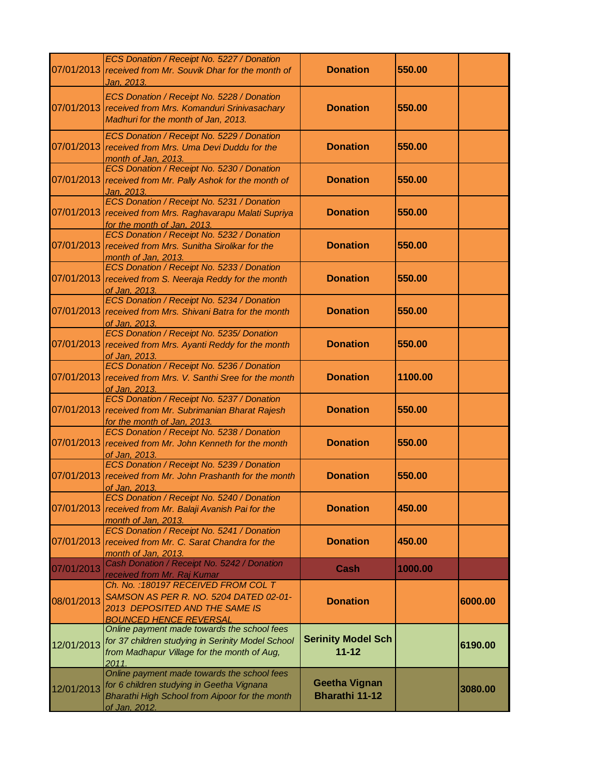|            | ECS Donation / Receipt No. 5227 / Donation<br>07/01/2013 received from Mr. Souvik Dhar for the month of<br><u>Jan, 2013.</u>                                | <b>Donation</b>                               | 550.00  |         |
|------------|-------------------------------------------------------------------------------------------------------------------------------------------------------------|-----------------------------------------------|---------|---------|
|            | ECS Donation / Receipt No. 5228 / Donation<br>07/01/2013 received from Mrs. Komanduri Srinivasachary<br>Madhuri for the month of Jan, 2013.                 | <b>Donation</b>                               | 550.00  |         |
|            | ECS Donation / Receipt No. 5229 / Donation<br>07/01/2013 received from Mrs. Uma Devi Duddu for the<br>month of Jan, 2013.                                   | <b>Donation</b>                               | 550.00  |         |
| 07/01/2013 | ECS Donation / Receipt No. 5230 / Donation<br>received from Mr. Pally Ashok for the month of<br>Jan, 2013.                                                  | <b>Donation</b>                               | 550.00  |         |
| 07/01/2013 | ECS Donation / Receipt No. 5231 / Donation<br>received from Mrs. Raghavarapu Malati Supriya<br>for the month of Jan, 2013.                                  | <b>Donation</b>                               | 550.00  |         |
|            | ECS Donation / Receipt No. 5232 / Donation<br>07/01/2013 received from Mrs. Sunitha Sirolikar for the<br>month of Jan, 2013.                                | <b>Donation</b>                               | 550.00  |         |
|            | ECS Donation / Receipt No. 5233 / Donation<br>07/01/2013 received from S. Neeraja Reddy for the month<br>of Jan, 2013.                                      | <b>Donation</b>                               | 550.00  |         |
|            | ECS Donation / Receipt No. 5234 / Donation<br>07/01/2013 received from Mrs. Shivani Batra for the month<br>of Jan, 2013.                                    | <b>Donation</b>                               | 550.00  |         |
|            | ECS Donation / Receipt No. 5235/ Donation<br>07/01/2013 received from Mrs. Ayanti Reddy for the month<br>of Jan. 2013.                                      | <b>Donation</b>                               | 550.00  |         |
| 07/01/2013 | ECS Donation / Receipt No. 5236 / Donation<br>received from Mrs. V. Santhi Sree for the month<br>of Jan, 2013.                                              | <b>Donation</b>                               | 1100.00 |         |
|            | ECS Donation / Receipt No. 5237 / Donation<br>07/01/2013 received from Mr. Subrimanian Bharat Rajesh<br>for the month of Jan, 2013.                         | <b>Donation</b>                               | 550.00  |         |
|            | ECS Donation / Receipt No. 5238 / Donation<br>07/01/2013 received from Mr. John Kenneth for the month<br>of Jan, 2013.                                      | <b>Donation</b>                               | 550.00  |         |
| 07/01/2013 | ECS Donation / Receipt No. 5239 / Donation<br>received from Mr. John Prashanth for the month<br><u>of Jan, 2013.</u>                                        | <b>Donation</b>                               | 550.00  |         |
|            | ECS Donation / Receipt No. 5240 / Donation<br>07/01/2013 received from Mr. Balaji Avanish Pai for the<br>month of Jan, 2013.                                | <b>Donation</b>                               | 450.00  |         |
| 07/01/2013 | ECS Donation / Receipt No. 5241 / Donation<br>received from Mr. C. Sarat Chandra for the<br>month of Jan, 2013.                                             | <b>Donation</b>                               | 450.00  |         |
| 07/01/2013 | Cash Donation / Receipt No. 5242 / Donation<br>received from Mr. Raj Kumar                                                                                  | Cash                                          | 1000.00 |         |
| 08/01/2013 | Ch. No.: 180197 RECEIVED FROM COL T<br>SAMSON AS PER R. NO. 5204 DATED 02-01-<br>2013 DEPOSITED AND THE SAME IS<br><b>BOUNCED HENCE REVERSAL</b>            | <b>Donation</b>                               |         | 6000.00 |
| 12/01/2013 | Online payment made towards the school fees<br>for 37 children studying in Serinity Model School<br>from Madhapur Village for the month of Aug,<br>2011     | <b>Serinity Model Sch</b><br>$11 - 12$        |         | 6190.00 |
| 12/01/2013 | Online payment made towards the school fees<br>for 6 children studying in Geetha Vignana<br>Bharathi High School from Aipoor for the month<br>of Jan. 2012. | <b>Geetha Vignan</b><br><b>Bharathi 11-12</b> |         | 3080.00 |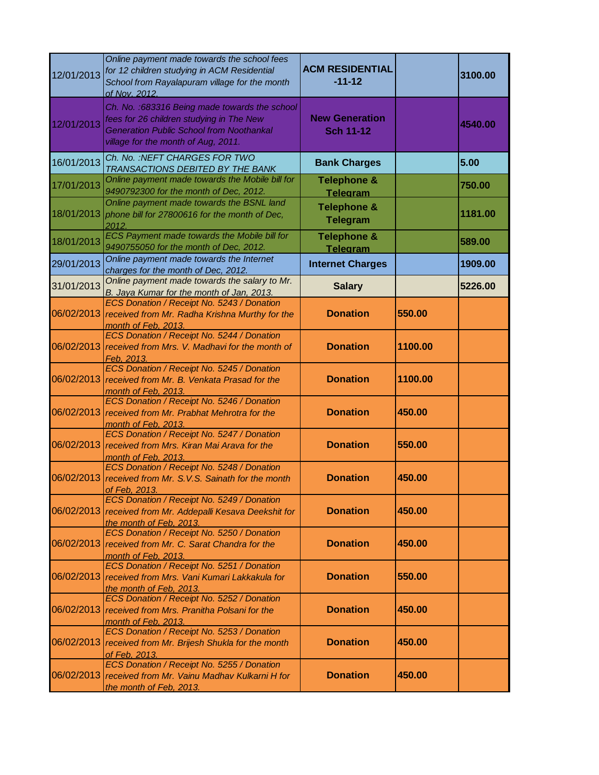| 12/01/2013 | Online payment made towards the school fees<br>for 12 children studying in ACM Residential<br>School from Rayalapuram village for the month<br>of Nov. 2012.                        | <b>ACM RESIDENTIAL</b><br>$-11-12$        |         | 3100.00 |
|------------|-------------------------------------------------------------------------------------------------------------------------------------------------------------------------------------|-------------------------------------------|---------|---------|
| 12/01/2013 | Ch. No.: 683316 Being made towards the school<br>fees for 26 children studying in The New<br><b>Generation Public School from Noothankal</b><br>village for the month of Aug, 2011. | <b>New Generation</b><br><b>Sch 11-12</b> |         | 4540.00 |
| 16/01/2013 | Ch. No. : NEFT CHARGES FOR TWO<br>TRANSACTIONS DEBITED BY THE BANK                                                                                                                  | <b>Bank Charges</b>                       |         | 5.00    |
| 17/01/2013 | Online payment made towards the Mobile bill for<br>9490792300 for the month of Dec, 2012.                                                                                           | <b>Telephone &amp;</b><br><b>Telegram</b> |         | 750.00  |
| 18/01/2013 | Online payment made towards the BSNL land<br>phone bill for 27800616 for the month of Dec,<br>2012.                                                                                 | <b>Telephone &amp;</b><br><b>Telegram</b> |         | 1181.00 |
| 18/01/2013 | ECS Payment made towards the Mobile bill for<br>9490755050 for the month of Dec, 2012.                                                                                              | <b>Telephone &amp;</b><br><b>Telegram</b> |         | 589.00  |
| 29/01/2013 | Online payment made towards the Internet<br>charges for the month of Dec, 2012.                                                                                                     | <b>Internet Charges</b>                   |         | 1909.00 |
| 31/01/2013 | Online payment made towards the salary to Mr.<br>B. Jaya Kumar for the month of Jan, 2013.                                                                                          | <b>Salary</b>                             |         | 5226.00 |
| 06/02/2013 | ECS Donation / Receipt No. 5243 / Donation<br>received from Mr. Radha Krishna Murthy for the<br>month of Feb, 2013.                                                                 | <b>Donation</b>                           | 550.00  |         |
| 06/02/2013 | ECS Donation / Receipt No. 5244 / Donation<br>received from Mrs. V. Madhavi for the month of<br>Feb. 2013.                                                                          | <b>Donation</b>                           | 1100.00 |         |
| 06/02/2013 | ECS Donation / Receipt No. 5245 / Donation<br>received from Mr. B. Venkata Prasad for the<br>month of Feb. 2013.                                                                    | <b>Donation</b>                           | 1100.00 |         |
| 06/02/2013 | ECS Donation / Receipt No. 5246 / Donation<br>received from Mr. Prabhat Mehrotra for the<br>month of Feb, 2013.                                                                     | <b>Donation</b>                           | 450.00  |         |
|            | ECS Donation / Receipt No. 5247 / Donation<br>06/02/2013 received from Mrs. Kiran Mai Arava for the<br>month of Feb, 2013.                                                          | <b>Donation</b>                           | 550.00  |         |
|            | ECS Donation / Receipt No. 5248 / Donation<br>06/02/2013 received from Mr. S.V.S. Sainath for the month<br>of Feb. 2013.                                                            | <b>Donation</b>                           | 450.00  |         |
| 06/02/2013 | ECS Donation / Receipt No. 5249 / Donation<br>received from Mr. Addepalli Kesava Deekshit for<br>the month of Feb. 2013.                                                            | <b>Donation</b>                           | 450.00  |         |
| 06/02/2013 | ECS Donation / Receipt No. 5250 / Donation<br>received from Mr. C. Sarat Chandra for the<br>month of Feb. 2013.                                                                     | <b>Donation</b>                           | 450.00  |         |
| 06/02/2013 | ECS Donation / Receipt No. 5251 / Donation<br>received from Mrs. Vani Kumari Lakkakula for<br>the month of Feb. 2013.                                                               | <b>Donation</b>                           | 550.00  |         |
|            | ECS Donation / Receipt No. 5252 / Donation<br>06/02/2013 received from Mrs. Pranitha Polsani for the<br>month of Feb, 2013.                                                         | <b>Donation</b>                           | 450.00  |         |
|            | ECS Donation / Receipt No. 5253 / Donation<br>06/02/2013 received from Mr. Brijesh Shukla for the month<br>of Feb. 2013.                                                            | <b>Donation</b>                           | 450.00  |         |
| 06/02/2013 | ECS Donation / Receipt No. 5255 / Donation<br>received from Mr. Vainu Madhav Kulkarni H for<br>the month of Feb. 2013.                                                              | <b>Donation</b>                           | 450.00  |         |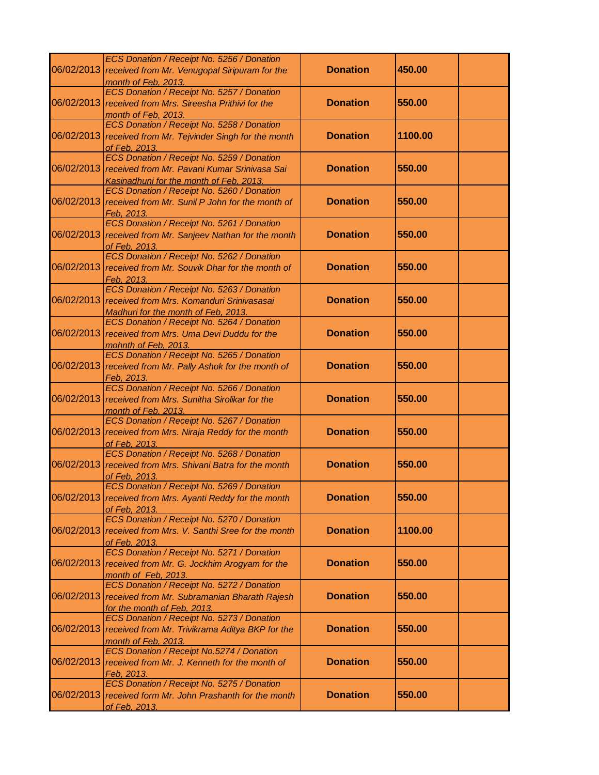|            | ECS Donation / Receipt No. 5256 / Donation                                                            |                 |         |  |
|------------|-------------------------------------------------------------------------------------------------------|-----------------|---------|--|
|            | 06/02/2013 received from Mr. Venugopal Siripuram for the                                              | <b>Donation</b> | 450.00  |  |
|            | month of Feb, 2013.                                                                                   |                 |         |  |
|            | ECS Donation / Receipt No. 5257 / Donation                                                            |                 |         |  |
|            | 06/02/2013 received from Mrs. Sireesha Prithivi for the                                               | <b>Donation</b> | 550.00  |  |
|            | month of Feb. 2013.                                                                                   |                 |         |  |
|            | ECS Donation / Receipt No. 5258 / Donation                                                            |                 |         |  |
|            | 06/02/2013 received from Mr. Tejvinder Singh for the month                                            | <b>Donation</b> | 1100.00 |  |
|            | of Feb. 2013.                                                                                         |                 |         |  |
|            | ECS Donation / Receipt No. 5259 / Donation<br>06/02/2013 received from Mr. Pavani Kumar Srinivasa Sai | <b>Donation</b> | 550.00  |  |
|            |                                                                                                       |                 |         |  |
|            | Kasinadhuni for the month of Feb, 2013.<br>ECS Donation / Receipt No. 5260 / Donation                 |                 |         |  |
| 06/02/2013 | received from Mr. Sunil P John for the month of                                                       | <b>Donation</b> | 550.00  |  |
|            | Feb. 2013.                                                                                            |                 |         |  |
|            | ECS Donation / Receipt No. 5261 / Donation                                                            |                 |         |  |
|            | 06/02/2013 received from Mr. Sanjeev Nathan for the month                                             | <b>Donation</b> | 550.00  |  |
|            | of Feb. 2013.                                                                                         |                 |         |  |
|            | ECS Donation / Receipt No. 5262 / Donation                                                            |                 |         |  |
|            | 06/02/2013 received from Mr. Souvik Dhar for the month of                                             | <b>Donation</b> | 550.00  |  |
|            | Feb. 2013.                                                                                            |                 |         |  |
|            | ECS Donation / Receipt No. 5263 / Donation                                                            |                 |         |  |
|            | 06/02/2013 received from Mrs. Komanduri Srinivasasai                                                  | <b>Donation</b> | 550.00  |  |
|            | Madhuri for the month of Feb. 2013.                                                                   |                 |         |  |
|            | ECS Donation / Receipt No. 5264 / Donation                                                            |                 |         |  |
| 06/02/2013 | received from Mrs. Uma Devi Duddu for the                                                             | <b>Donation</b> | 550.00  |  |
|            | mohnth of Feb, 2013.                                                                                  |                 |         |  |
|            | ECS Donation / Receipt No. 5265 / Donation                                                            |                 |         |  |
| 06/02/2013 | received from Mr. Pally Ashok for the month of                                                        | <b>Donation</b> | 550.00  |  |
|            | Feb. 2013.                                                                                            |                 |         |  |
|            | ECS Donation / Receipt No. 5266 / Donation                                                            |                 |         |  |
|            | 06/02/2013 received from Mrs. Sunitha Sirolikar for the                                               | <b>Donation</b> | 550.00  |  |
|            | month of Feb, 2013.                                                                                   |                 |         |  |
| 06/02/2013 | ECS Donation / Receipt No. 5267 / Donation                                                            | <b>Donation</b> | 550.00  |  |
|            | received from Mrs. Niraja Reddy for the month<br>of Feb. 2013.                                        |                 |         |  |
|            | ECS Donation / Receipt No. 5268 / Donation                                                            |                 |         |  |
| 06/02/2013 | received from Mrs. Shivani Batra for the month                                                        | <b>Donation</b> | 550.00  |  |
|            | of Feb. 2013.                                                                                         |                 |         |  |
|            | ECS Donation / Receipt No. 5269 / Donation                                                            |                 |         |  |
|            | 06/02/2013 received from Mrs. Ayanti Reddy for the month                                              | <b>Donation</b> | 550.00  |  |
|            | of Feb. 2013.                                                                                         |                 |         |  |
|            | ECS Donation / Receipt No. 5270 / Donation                                                            |                 |         |  |
| 06/02/2013 | received from Mrs. V. Santhi Sree for the month                                                       | <b>Donation</b> | 1100.00 |  |
|            | of Feb. 2013.                                                                                         |                 |         |  |
|            | ECS Donation / Receipt No. 5271 / Donation                                                            |                 |         |  |
|            | 06/02/2013 received from Mr. G. Jockhim Arogyam for the                                               | <b>Donation</b> | 550.00  |  |
|            | month of Feb, 2013.                                                                                   |                 |         |  |
|            | ECS Donation / Receipt No. 5272 / Donation                                                            |                 |         |  |
| 06/02/2013 | received from Mr. Subramanian Bharath Rajesh                                                          | <b>Donation</b> | 550.00  |  |
|            | for the month of Feb, 2013.                                                                           |                 |         |  |
|            | ECS Donation / Receipt No. 5273 / Donation                                                            |                 |         |  |
| 06/02/2013 | received from Mr. Trivikrama Aditya BKP for the                                                       | <b>Donation</b> | 550.00  |  |
|            | month of Feb, 2013.                                                                                   |                 |         |  |
|            | ECS Donation / Receipt No.5274 / Donation                                                             | <b>Donation</b> | 550.00  |  |
| 06/02/2013 | received from Mr. J. Kenneth for the month of                                                         |                 |         |  |
|            | Feb. 2013.<br>ECS Donation / Receipt No. 5275 / Donation                                              |                 |         |  |
|            | 06/02/2013 received form Mr. John Prashanth for the month                                             | <b>Donation</b> | 550.00  |  |
|            | of Feb. 2013.                                                                                         |                 |         |  |
|            |                                                                                                       |                 |         |  |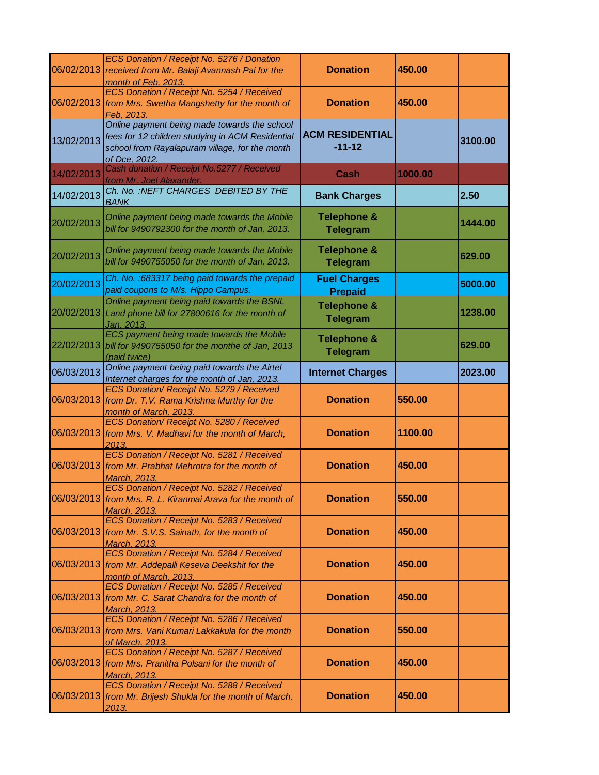|            | ECS Donation / Receipt No. 5276 / Donation<br>06/02/2013 received from Mr. Balaji Avannash Pai for the<br>month of Feb, 2013.                                       | <b>Donation</b>                           | 450.00  |         |
|------------|---------------------------------------------------------------------------------------------------------------------------------------------------------------------|-------------------------------------------|---------|---------|
| 06/02/2013 | ECS Donation / Receipt No. 5254 / Received<br>from Mrs. Swetha Mangshetty for the month of<br>Feb. 2013.                                                            | <b>Donation</b>                           | 450.00  |         |
| 13/02/2013 | Online payment being made towards the school<br>fees for 12 children studying in ACM Residential<br>school from Rayalapuram village, for the month<br>of Dce, 2012. | <b>ACM RESIDENTIAL</b><br>$-11-12$        |         | 3100.00 |
| 14/02/2013 | Cash donation / Receipt No.5277 / Received<br>from Mr. Joel Alaxander.                                                                                              | Cash                                      | 1000.00 |         |
| 14/02/2013 | Ch. No. : NEFT CHARGES DEBITED BY THE<br><b>BANK</b>                                                                                                                | <b>Bank Charges</b>                       |         | 2.50    |
| 20/02/2013 | Online payment being made towards the Mobile<br>bill for 9490792300 for the month of Jan, 2013.                                                                     | <b>Telephone &amp;</b><br><b>Telegram</b> |         | 1444.00 |
| 20/02/2013 | Online payment being made towards the Mobile<br>bill for 9490755050 for the month of Jan, 2013.                                                                     | <b>Telephone &amp;</b><br><b>Telegram</b> |         | 629.00  |
| 20/02/2013 | Ch. No. : 683317 being paid towards the prepaid<br>paid coupons to M/s. Hippo Campus.                                                                               | <b>Fuel Charges</b><br><b>Prepaid</b>     |         | 5000.00 |
| 20/02/2013 | Online payment being paid towards the BSNL<br>Land phone bill for 27800616 for the month of<br>Jan, 2013.                                                           | <b>Telephone &amp;</b><br><b>Telegram</b> |         | 1238.00 |
| 22/02/2013 | ECS payment being made towards the Mobile<br>bill for 9490755050 for the monthe of Jan, 2013<br>(paid twice)                                                        | <b>Telephone &amp;</b><br><b>Telegram</b> |         | 629.00  |
| 06/03/2013 | Online payment being paid towards the Airtel<br>Internet charges for the month of Jan, 2013.                                                                        | <b>Internet Charges</b>                   |         | 2023.00 |
| 06/03/2013 | ECS Donation/ Receipt No. 5279 / Received<br>from Dr. T.V. Rama Krishna Murthy for the<br>month of March, 2013.                                                     | <b>Donation</b>                           | 550.00  |         |
|            | ECS Donation/ Receipt No. 5280 / Received<br>06/03/2013 from Mrs. V. Madhavi for the month of March,<br>2013.                                                       | <b>Donation</b>                           | 1100.00 |         |
| 06/03/2013 | ECS Donation / Receipt No. 5281 / Received<br>from Mr. Prabhat Mehrotra for the month of<br>March, 2013.                                                            | <b>Donation</b>                           | 450.00  |         |
|            | ECS Donation / Receipt No. 5282 / Received<br>06/03/2013 from Mrs. R. L. Kiranmai Arava for the month of<br>March, 2013.                                            | <b>Donation</b>                           | 550.00  |         |
| 06/03/2013 | ECS Donation / Receipt No. 5283 / Received<br>from Mr. S.V.S. Sainath, for the month of<br>March, 2013.                                                             | <b>Donation</b>                           | 450.00  |         |
| 06/03/2013 | ECS Donation / Receipt No. 5284 / Received<br>from Mr. Addepalli Keseva Deekshit for the<br>month of March, 2013.                                                   | <b>Donation</b>                           | 450.00  |         |
|            | ECS Donation / Receipt No. 5285 / Received<br>06/03/2013 from Mr. C. Sarat Chandra for the month of<br>March, 2013.                                                 | <b>Donation</b>                           | 450.00  |         |
| 06/03/2013 | ECS Donation / Receipt No. 5286 / Received<br>from Mrs. Vani Kumari Lakkakula for the month<br>of March, 2013.                                                      | <b>Donation</b>                           | 550.00  |         |
|            | ECS Donation / Receipt No. 5287 / Received<br>06/03/2013 from Mrs. Pranitha Polsani for the month of<br>March, 2013.                                                | <b>Donation</b>                           | 450.00  |         |
|            | ECS Donation / Receipt No. 5288 / Received<br>06/03/2013 from Mr. Brijesh Shukla for the month of March,<br>2013.                                                   | <b>Donation</b>                           | 450.00  |         |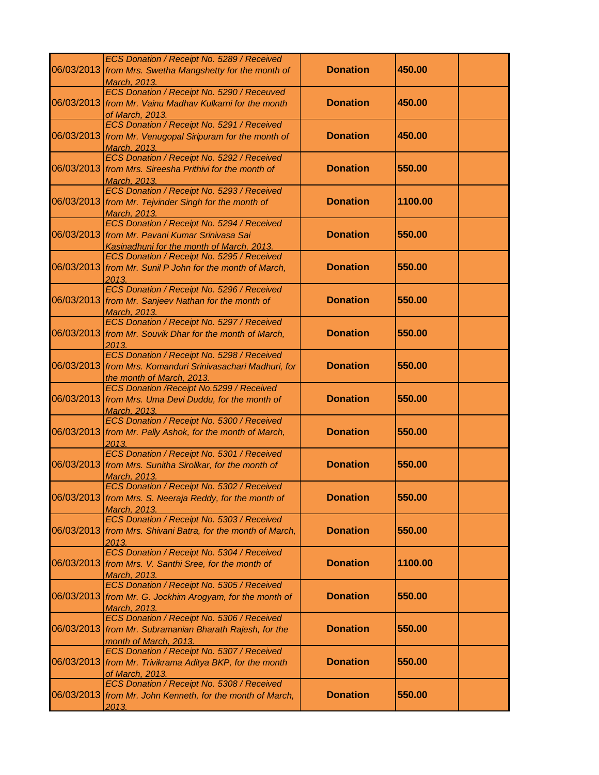|            | ECS Donation / Receipt No. 5289 / Received<br>06/03/2013 from Mrs. Swetha Mangshetty for the month of                                       | <b>Donation</b> | 450.00  |
|------------|---------------------------------------------------------------------------------------------------------------------------------------------|-----------------|---------|
|            | March, 2013.<br>ECS Donation / Receipt No. 5290 / Receuved<br>06/03/2013 from Mr. Vainu Madhav Kulkarni for the month                       | <b>Donation</b> | 450.00  |
|            | of March, 2013.<br>ECS Donation / Receipt No. 5291 / Received<br>06/03/2013 from Mr. Venugopal Siripuram for the month of                   | <b>Donation</b> | 450.00  |
|            | March, 2013.<br>ECS Donation / Receipt No. 5292 / Received                                                                                  |                 |         |
|            | 06/03/2013 from Mrs. Sireesha Prithivi for the month of<br>March, 2013.<br>ECS Donation / Receipt No. 5293 / Received                       | <b>Donation</b> | 550.00  |
|            | 06/03/2013 from Mr. Tejvinder Singh for the month of<br>March, 2013.                                                                        | <b>Donation</b> | 1100.00 |
|            | ECS Donation / Receipt No. 5294 / Received<br>06/03/2013   from Mr. Pavani Kumar Srinivasa Sai<br>Kasinadhuni for the month of March, 2013. | <b>Donation</b> | 550.00  |
|            | ECS Donation / Receipt No. 5295 / Received<br>06/03/2013 from Mr. Sunil P John for the month of March,<br>2013.                             | <b>Donation</b> | 550.00  |
|            | ECS Donation / Receipt No. 5296 / Received<br>06/03/2013 from Mr. Sanjeev Nathan for the month of<br>March, 2013.                           | <b>Donation</b> | 550.00  |
|            | ECS Donation / Receipt No. 5297 / Received<br>06/03/2013 from Mr. Souvik Dhar for the month of March,<br>2013.                              | <b>Donation</b> | 550.00  |
|            | ECS Donation / Receipt No. 5298 / Received<br>06/03/2013 from Mrs. Komanduri Srinivasachari Madhuri, for<br>the month of March, 2013.       | <b>Donation</b> | 550.00  |
|            | ECS Donation / Receipt No.5299 / Received<br>06/03/2013 from Mrs. Uma Devi Duddu, for the month of<br>March, 2013.                          | <b>Donation</b> | 550.00  |
|            | ECS Donation / Receipt No. 5300 / Received<br>06/03/2013 from Mr. Pally Ashok, for the month of March,<br>2013.                             | <b>Donation</b> | 550.00  |
|            | ECS Donation / Receipt No. 5301 / Received<br>06/03/2013 from Mrs. Sunitha Sirolikar, for the month of<br>March, 2013.                      | <b>Donation</b> | 550.00  |
|            | ECS Donation / Receipt No. 5302 / Received<br>06/03/2013 from Mrs. S. Neeraja Reddy, for the month of<br><b>March, 2013</b>                 | <b>Donation</b> | 550.00  |
|            | ECS Donation / Receipt No. 5303 / Received<br>06/03/2013 from Mrs. Shivani Batra, for the month of March,<br>2013.                          | <b>Donation</b> | 550.00  |
|            | ECS Donation / Receipt No. 5304 / Received<br>06/03/2013 from Mrs. V. Santhi Sree, for the month of<br>March, 2013.                         | <b>Donation</b> | 1100.00 |
|            | ECS Donation / Receipt No. 5305 / Received<br>06/03/2013 from Mr. G. Jockhim Arogyam, for the month of<br>March, 2013.                      | <b>Donation</b> | 550.00  |
| 06/03/2013 | ECS Donation / Receipt No. 5306 / Received<br>from Mr. Subramanian Bharath Rajesh, for the<br>month of March, 2013.                         | <b>Donation</b> | 550.00  |
|            | ECS Donation / Receipt No. 5307 / Received<br>06/03/2013 from Mr. Trivikrama Aditya BKP, for the month<br>of March, 2013.                   | <b>Donation</b> | 550.00  |
|            | ECS Donation / Receipt No. 5308 / Received<br>06/03/2013 from Mr. John Kenneth, for the month of March,<br>2013.                            | <b>Donation</b> | 550.00  |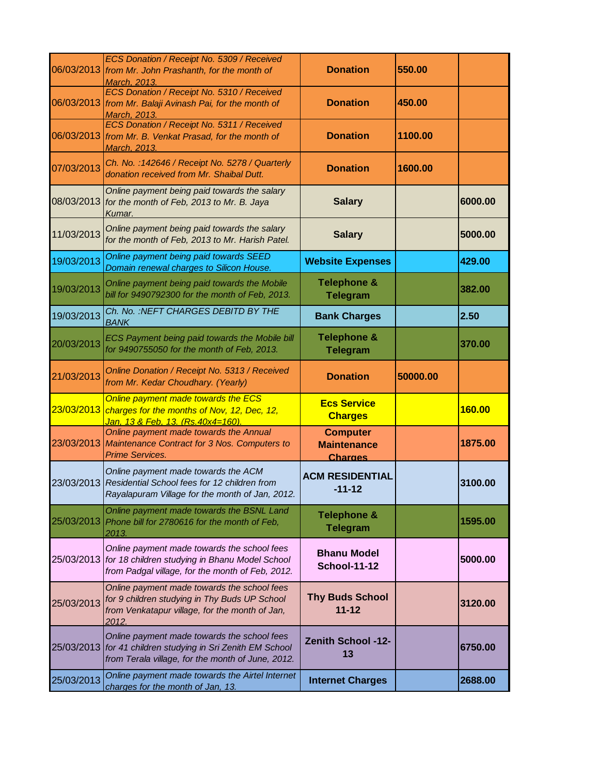|            | ECS Donation / Receipt No. 5309 / Received<br>06/03/2013 from Mr. John Prashanth, for the month of<br>March, 2013.                                           | <b>Donation</b>                                         | 550.00   |         |
|------------|--------------------------------------------------------------------------------------------------------------------------------------------------------------|---------------------------------------------------------|----------|---------|
|            | ECS Donation / Receipt No. 5310 / Received<br>06/03/2013 from Mr. Balaji Avinash Pai, for the month of<br>March, 2013.                                       | <b>Donation</b>                                         | 450.00   |         |
| 06/03/2013 | ECS Donation / Receipt No. 5311 / Received<br>from Mr. B. Venkat Prasad, for the month of<br>March, 2013.                                                    | <b>Donation</b>                                         | 1100.00  |         |
| 07/03/2013 | Ch. No.: 142646 / Receipt No. 5278 / Quarterly<br>donation received from Mr. Shaibal Dutt.                                                                   | <b>Donation</b>                                         | 1600.00  |         |
| 08/03/2013 | Online payment being paid towards the salary<br>for the month of Feb, 2013 to Mr. B. Jaya<br>Kumar.                                                          | <b>Salary</b>                                           |          | 6000.00 |
| 11/03/2013 | Online payment being paid towards the salary<br>for the month of Feb, 2013 to Mr. Harish Patel.                                                              | <b>Salary</b>                                           |          | 5000.00 |
| 19/03/2013 | Online payment being paid towards SEED<br>Domain renewal charges to Silicon House.                                                                           | <b>Website Expenses</b>                                 |          | 429.00  |
| 19/03/2013 | Online payment being paid towards the Mobile<br>bill for 9490792300 for the month of Feb, 2013.                                                              | <b>Telephone &amp;</b><br><b>Telegram</b>               |          | 382.00  |
| 19/03/2013 | Ch. No.: NEFT CHARGES DEBITD BY THE<br><b>BANK</b>                                                                                                           | <b>Bank Charges</b>                                     |          | 2.50    |
| 20/03/2013 | <b>ECS Payment being paid towards the Mobile bill</b><br>for 9490755050 for the month of Feb, 2013.                                                          | <b>Telephone &amp;</b><br><b>Telegram</b>               |          | 370.00  |
| 21/03/2013 | Online Donation / Receipt No. 5313 / Received<br>from Mr. Kedar Choudhary. (Yearly)                                                                          | <b>Donation</b>                                         | 50000.00 |         |
| 23/03/2013 | Online payment made towards the ECS<br>charges for the months of Nov, 12, Dec, 12,<br><u>Jan, 13 &amp; Feb, 13. (Rs.40x4=160).</u>                           | <b>Ecs Service</b><br><b>Charges</b>                    |          | 160.00  |
| 23/03/2013 | Online payment made towards the Annual<br>Maintenance Contract for 3 Nos. Computers to<br><b>Prime Services.</b>                                             | <b>Computer</b><br><b>Maintenance</b><br><b>Charges</b> |          | 1875.00 |
|            | Online payment made towards the ACM<br>23/03/2013 Residential School fees for 12 children from<br>Rayalapuram Village for the month of Jan, 2012.            | <b>ACM RESIDENTIAL</b><br>$-11 - 12$                    |          | 3100.00 |
| 25/03/2013 | Online payment made towards the BSNL Land<br>Phone bill for 2780616 for the month of Feb,<br>2013.                                                           | <b>Telephone &amp;</b><br><b>Telegram</b>               |          | 1595.00 |
|            | Online payment made towards the school fees<br>25/03/2013 for 18 children studying in Bhanu Model School<br>from Padgal village, for the month of Feb, 2012. | <b>Bhanu Model</b><br><b>School-11-12</b>               |          | 5000.00 |
| 25/03/2013 | Online payment made towards the school fees<br>for 9 children studying in Thy Buds UP School<br>from Venkatapur village, for the month of Jan,<br>2012.      | <b>Thy Buds School</b><br>$11 - 12$                     |          | 3120.00 |
| 25/03/2013 | Online payment made towards the school fees<br>for 41 children studying in Sri Zenith EM School<br>from Terala village, for the month of June, 2012.         | <b>Zenith School -12-</b><br>13                         |          | 6750.00 |
| 25/03/2013 | Online payment made towards the Airtel Internet<br>charges for the month of Jan, 13.                                                                         | <b>Internet Charges</b>                                 |          | 2688.00 |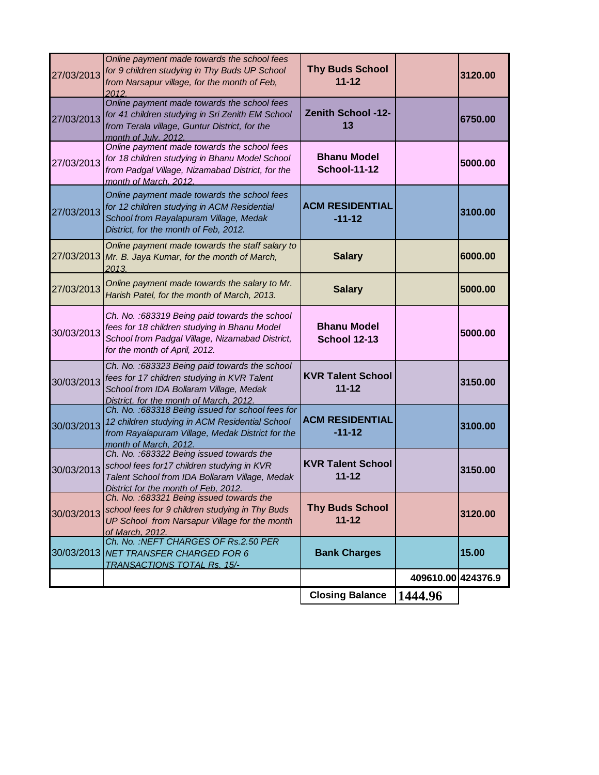|            |                                                                                                                                                                                     | <b>Closing Balance</b>                    | 1444.96            |         |
|------------|-------------------------------------------------------------------------------------------------------------------------------------------------------------------------------------|-------------------------------------------|--------------------|---------|
|            |                                                                                                                                                                                     |                                           | 409610.00 424376.9 |         |
| 30/03/2013 | Ch. No.: NEFT CHARGES OF Rs.2.50 PER<br><b>NET TRANSFER CHARGED FOR 6</b><br><b>TRANSACTIONS TOTAL Rs. 15/-</b>                                                                     | <b>Bank Charges</b>                       |                    | 15.00   |
| 30/03/2013 | Ch. No.: 683321 Being issued towards the<br>school fees for 9 children studying in Thy Buds<br>UP School from Narsapur Village for the month<br>of March. 2012.                     | <b>Thy Buds School</b><br>$11 - 12$       |                    | 3120.00 |
| 30/03/2013 | Ch. No. : 683322 Being issued towards the<br>school fees for 17 children studying in KVR<br>Talent School from IDA Bollaram Village, Medak<br>District for the month of Feb. 2012.  | <b>KVR Talent School</b><br>$11 - 12$     |                    | 3150.00 |
| 30/03/2013 | Ch. No. : 683318 Being issued for school fees for<br>12 children studying in ACM Residential School<br>from Rayalapuram Village, Medak District for the<br>month of March. 2012.    | <b>ACM RESIDENTIAL</b><br>$-11-12$        |                    | 3100.00 |
| 30/03/2013 | Ch. No. : 683323 Being paid towards the school<br>fees for 17 children studying in KVR Talent<br>School from IDA Bollaram Village, Medak<br>District, for the month of March, 2012. | <b>KVR Talent School</b><br>$11 - 12$     |                    | 3150.00 |
| 30/03/2013 | Ch. No. : 683319 Being paid towards the school<br>fees for 18 children studying in Bhanu Model<br>School from Padgal Village, Nizamabad District,<br>for the month of April, 2012.  | <b>Bhanu Model</b><br><b>School 12-13</b> |                    | 5000.00 |
| 27/03/2013 | Online payment made towards the salary to Mr.<br>Harish Patel, for the month of March, 2013.                                                                                        | <b>Salary</b>                             |                    | 5000.00 |
| 27/03/2013 | Online payment made towards the staff salary to<br>Mr. B. Jaya Kumar, for the month of March,<br>2013.                                                                              | <b>Salary</b>                             |                    | 6000.00 |
| 27/03/2013 | Online payment made towards the school fees<br>for 12 children studying in ACM Residential<br>School from Rayalapuram Village, Medak<br>District, for the month of Feb, 2012.       | <b>ACM RESIDENTIAL</b><br>$-11-12$        |                    | 3100.00 |
| 27/03/2013 | Online payment made towards the school fees<br>for 18 children studying in Bhanu Model School<br>from Padgal Village, Nizamabad District, for the<br>month of March. 2012.          | <b>Bhanu Model</b><br><b>School-11-12</b> |                    | 5000.00 |
| 27/03/2013 | Online payment made towards the school fees<br>for 41 children studying in Sri Zenith EM School<br>from Terala village, Guntur District, for the<br>month of July. 2012.            | <b>Zenith School -12-</b><br>13           |                    | 6750.00 |
| 27/03/2013 | Online payment made towards the school fees<br>for 9 children studying in Thy Buds UP School<br>from Narsapur village, for the month of Feb,<br>2012.                               | <b>Thy Buds School</b><br>$11 - 12$       |                    | 3120.00 |